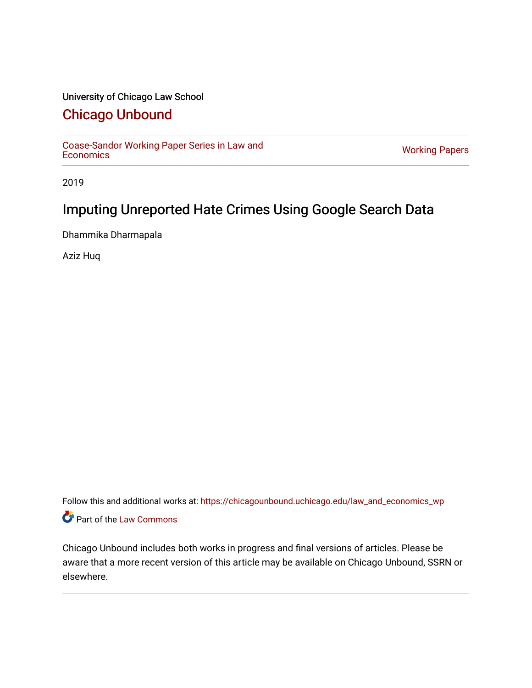# University of Chicago Law School

# [Chicago Unbound](https://chicagounbound.uchicago.edu/)

[Coase-Sandor Working Paper Series in Law and](https://chicagounbound.uchicago.edu/law_and_economics_wp) [Economics](https://chicagounbound.uchicago.edu/law_and_economics_wp) [Working Papers](https://chicagounbound.uchicago.edu/working_papers) 

2019

# Imputing Unreported Hate Crimes Using Google Search Data

Dhammika Dharmapala

Aziz Huq

Follow this and additional works at: [https://chicagounbound.uchicago.edu/law\\_and\\_economics\\_wp](https://chicagounbound.uchicago.edu/law_and_economics_wp?utm_source=chicagounbound.uchicago.edu%2Flaw_and_economics_wp%2F77&utm_medium=PDF&utm_campaign=PDFCoverPages)  Part of the [Law Commons](http://network.bepress.com/hgg/discipline/578?utm_source=chicagounbound.uchicago.edu%2Flaw_and_economics_wp%2F77&utm_medium=PDF&utm_campaign=PDFCoverPages)

Chicago Unbound includes both works in progress and final versions of articles. Please be aware that a more recent version of this article may be available on Chicago Unbound, SSRN or elsewhere.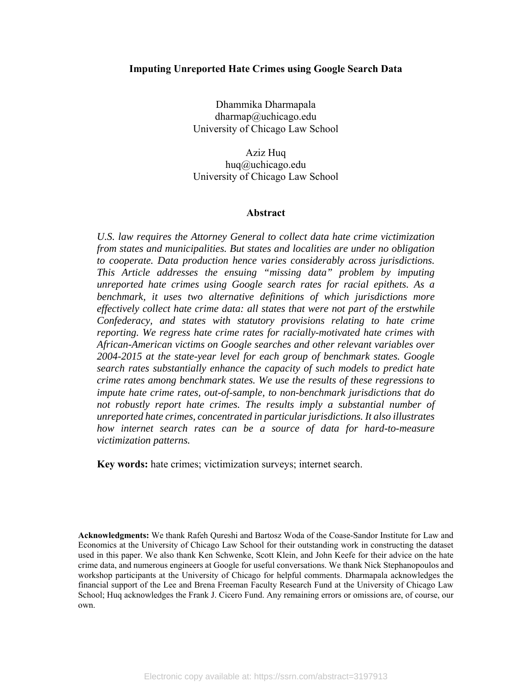#### **Imputing Unreported Hate Crimes using Google Search Data**

Dhammika Dharmapala dharmap@uchicago.edu University of Chicago Law School

Aziz Huq huq@uchicago.edu University of Chicago Law School

#### **Abstract**

*U.S. law requires the Attorney General to collect data hate crime victimization from states and municipalities. But states and localities are under no obligation to cooperate. Data production hence varies considerably across jurisdictions. This Article addresses the ensuing "missing data" problem by imputing unreported hate crimes using Google search rates for racial epithets. As a benchmark, it uses two alternative definitions of which jurisdictions more effectively collect hate crime data: all states that were not part of the erstwhile Confederacy, and states with statutory provisions relating to hate crime reporting. We regress hate crime rates for racially-motivated hate crimes with African-American victims on Google searches and other relevant variables over 2004-2015 at the state-year level for each group of benchmark states. Google search rates substantially enhance the capacity of such models to predict hate crime rates among benchmark states. We use the results of these regressions to impute hate crime rates, out-of-sample, to non-benchmark jurisdictions that do not robustly report hate crimes. The results imply a substantial number of unreported hate crimes, concentrated in particular jurisdictions. It also illustrates how internet search rates can be a source of data for hard-to-measure victimization patterns.* 

**Key words:** hate crimes; victimization surveys; internet search.

**Acknowledgments:** We thank Rafeh Qureshi and Bartosz Woda of the Coase-Sandor Institute for Law and Economics at the University of Chicago Law School for their outstanding work in constructing the dataset used in this paper. We also thank Ken Schwenke, Scott Klein, and John Keefe for their advice on the hate crime data, and numerous engineers at Google for useful conversations. We thank Nick Stephanopoulos and workshop participants at the University of Chicago for helpful comments. Dharmapala acknowledges the financial support of the Lee and Brena Freeman Faculty Research Fund at the University of Chicago Law School; Huq acknowledges the Frank J. Cicero Fund. Any remaining errors or omissions are, of course, our own.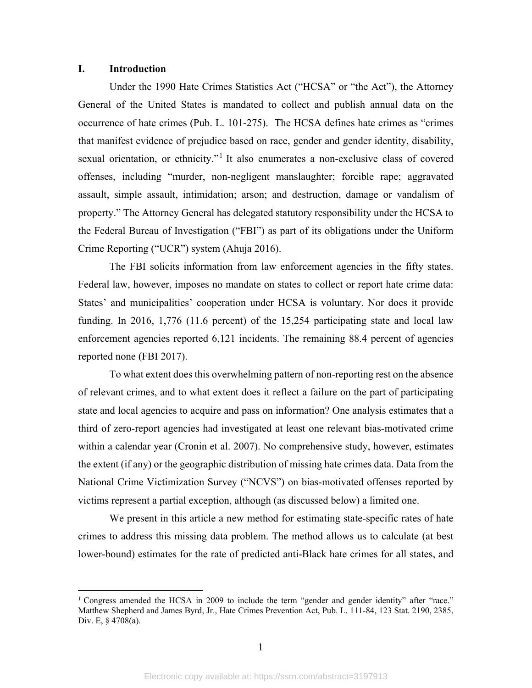#### **I. Introduction**

 $\overline{a}$ 

Under the 1990 Hate Crimes Statistics Act ("HCSA" or "the Act"), the Attorney General of the United States is mandated to collect and publish annual data on the occurrence of hate crimes (Pub. L. 101-275). The HCSA defines hate crimes as "crimes that manifest evidence of prejudice based on race, gender and gender identity, disability, sexual orientation, or ethnicity."<sup>1</sup> It also enumerates a non-exclusive class of covered offenses, including "murder, non-negligent manslaughter; forcible rape; aggravated assault, simple assault, intimidation; arson; and destruction, damage or vandalism of property." The Attorney General has delegated statutory responsibility under the HCSA to the Federal Bureau of Investigation ("FBI") as part of its obligations under the Uniform Crime Reporting ("UCR") system (Ahuja 2016).

The FBI solicits information from law enforcement agencies in the fifty states. Federal law, however, imposes no mandate on states to collect or report hate crime data: States' and municipalities' cooperation under HCSA is voluntary. Nor does it provide funding. In 2016, 1,776 (11.6 percent) of the 15,254 participating state and local law enforcement agencies reported 6,121 incidents. The remaining 88.4 percent of agencies reported none (FBI 2017).

To what extent does this overwhelming pattern of non-reporting rest on the absence of relevant crimes, and to what extent does it reflect a failure on the part of participating state and local agencies to acquire and pass on information? One analysis estimates that a third of zero-report agencies had investigated at least one relevant bias-motivated crime within a calendar year (Cronin et al. 2007). No comprehensive study, however, estimates the extent (if any) or the geographic distribution of missing hate crimes data. Data from the National Crime Victimization Survey ("NCVS") on bias-motivated offenses reported by victims represent a partial exception, although (as discussed below) a limited one.

 We present in this article a new method for estimating state-specific rates of hate crimes to address this missing data problem. The method allows us to calculate (at best lower-bound) estimates for the rate of predicted anti-Black hate crimes for all states, and

 $1$  Congress amended the HCSA in 2009 to include the term "gender and gender identity" after "race." Matthew Shepherd and James Byrd, Jr., Hate Crimes Prevention Act, Pub. L. 111-84, 123 Stat. 2190, 2385, Div. E, § 4708(a).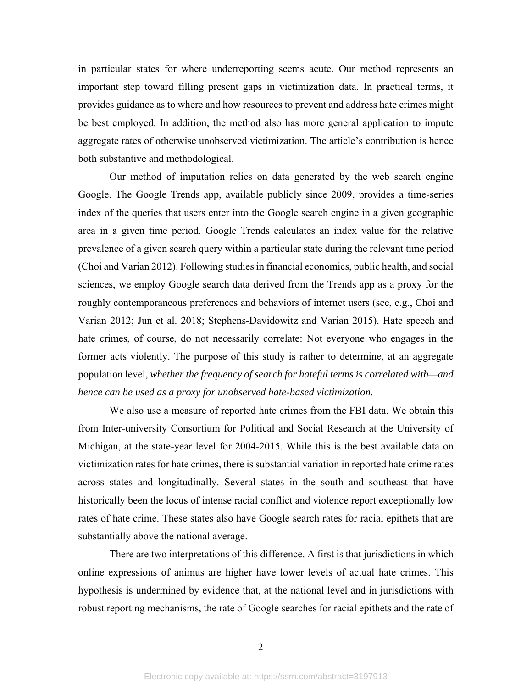in particular states for where underreporting seems acute. Our method represents an important step toward filling present gaps in victimization data. In practical terms, it provides guidance as to where and how resources to prevent and address hate crimes might be best employed. In addition, the method also has more general application to impute aggregate rates of otherwise unobserved victimization. The article's contribution is hence both substantive and methodological.

Our method of imputation relies on data generated by the web search engine Google. The Google Trends app, available publicly since 2009, provides a time-series index of the queries that users enter into the Google search engine in a given geographic area in a given time period. Google Trends calculates an index value for the relative prevalence of a given search query within a particular state during the relevant time period (Choi and Varian 2012). Following studies in financial economics, public health, and social sciences, we employ Google search data derived from the Trends app as a proxy for the roughly contemporaneous preferences and behaviors of internet users (see, e.g., Choi and Varian 2012; Jun et al. 2018; Stephens-Davidowitz and Varian 2015). Hate speech and hate crimes, of course, do not necessarily correlate: Not everyone who engages in the former acts violently. The purpose of this study is rather to determine, at an aggregate population level, *whether the frequency of search for hateful terms is correlated with—and hence can be used as a proxy for unobserved hate-based victimization*.

We also use a measure of reported hate crimes from the FBI data. We obtain this from Inter-university Consortium for Political and Social Research at the University of Michigan, at the state-year level for 2004-2015. While this is the best available data on victimization rates for hate crimes, there is substantial variation in reported hate crime rates across states and longitudinally. Several states in the south and southeast that have historically been the locus of intense racial conflict and violence report exceptionally low rates of hate crime. These states also have Google search rates for racial epithets that are substantially above the national average.

There are two interpretations of this difference. A first is that jurisdictions in which online expressions of animus are higher have lower levels of actual hate crimes. This hypothesis is undermined by evidence that, at the national level and in jurisdictions with robust reporting mechanisms, the rate of Google searches for racial epithets and the rate of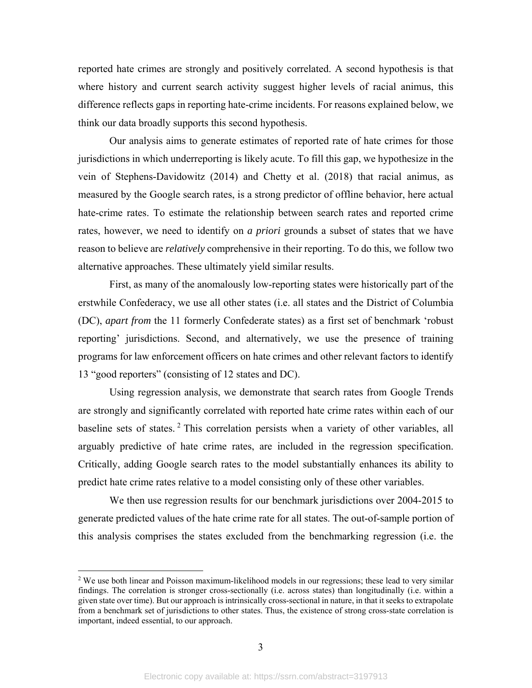reported hate crimes are strongly and positively correlated. A second hypothesis is that where history and current search activity suggest higher levels of racial animus, this difference reflects gaps in reporting hate-crime incidents. For reasons explained below, we think our data broadly supports this second hypothesis.

Our analysis aims to generate estimates of reported rate of hate crimes for those jurisdictions in which underreporting is likely acute. To fill this gap, we hypothesize in the vein of Stephens-Davidowitz (2014) and Chetty et al. (2018) that racial animus, as measured by the Google search rates, is a strong predictor of offline behavior, here actual hate-crime rates. To estimate the relationship between search rates and reported crime rates, however, we need to identify on *a priori* grounds a subset of states that we have reason to believe are *relatively* comprehensive in their reporting. To do this, we follow two alternative approaches. These ultimately yield similar results.

First, as many of the anomalously low-reporting states were historically part of the erstwhile Confederacy, we use all other states (i.e. all states and the District of Columbia (DC), *apart from* the 11 formerly Confederate states) as a first set of benchmark 'robust reporting' jurisdictions. Second, and alternatively, we use the presence of training programs for law enforcement officers on hate crimes and other relevant factors to identify 13 "good reporters" (consisting of 12 states and DC).

Using regression analysis, we demonstrate that search rates from Google Trends are strongly and significantly correlated with reported hate crime rates within each of our baseline sets of states.<sup>2</sup> This correlation persists when a variety of other variables, all arguably predictive of hate crime rates, are included in the regression specification. Critically, adding Google search rates to the model substantially enhances its ability to predict hate crime rates relative to a model consisting only of these other variables.

We then use regression results for our benchmark jurisdictions over 2004-2015 to generate predicted values of the hate crime rate for all states. The out-of-sample portion of this analysis comprises the states excluded from the benchmarking regression (i.e. the

1

<sup>&</sup>lt;sup>2</sup> We use both linear and Poisson maximum-likelihood models in our regressions; these lead to very similar findings. The correlation is stronger cross-sectionally (i.e. across states) than longitudinally (i.e. within a given state over time). But our approach is intrinsically cross-sectional in nature, in that it seeks to extrapolate from a benchmark set of jurisdictions to other states. Thus, the existence of strong cross-state correlation is important, indeed essential, to our approach.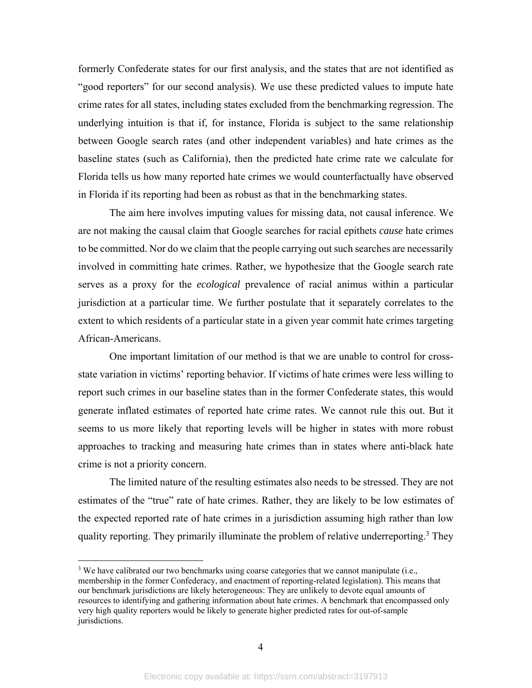formerly Confederate states for our first analysis, and the states that are not identified as "good reporters" for our second analysis). We use these predicted values to impute hate crime rates for all states, including states excluded from the benchmarking regression. The underlying intuition is that if, for instance, Florida is subject to the same relationship between Google search rates (and other independent variables) and hate crimes as the baseline states (such as California), then the predicted hate crime rate we calculate for Florida tells us how many reported hate crimes we would counterfactually have observed in Florida if its reporting had been as robust as that in the benchmarking states.

The aim here involves imputing values for missing data, not causal inference. We are not making the causal claim that Google searches for racial epithets *cause* hate crimes to be committed. Nor do we claim that the people carrying out such searches are necessarily involved in committing hate crimes. Rather, we hypothesize that the Google search rate serves as a proxy for the *ecological* prevalence of racial animus within a particular jurisdiction at a particular time. We further postulate that it separately correlates to the extent to which residents of a particular state in a given year commit hate crimes targeting African-Americans.

One important limitation of our method is that we are unable to control for crossstate variation in victims' reporting behavior. If victims of hate crimes were less willing to report such crimes in our baseline states than in the former Confederate states, this would generate inflated estimates of reported hate crime rates. We cannot rule this out. But it seems to us more likely that reporting levels will be higher in states with more robust approaches to tracking and measuring hate crimes than in states where anti-black hate crime is not a priority concern.

The limited nature of the resulting estimates also needs to be stressed. They are not estimates of the "true" rate of hate crimes. Rather, they are likely to be low estimates of the expected reported rate of hate crimes in a jurisdiction assuming high rather than low quality reporting. They primarily illuminate the problem of relative underreporting.<sup>3</sup> They

<sup>&</sup>lt;sup>3</sup> We have calibrated our two benchmarks using coarse categories that we cannot manipulate (i.e., membership in the former Confederacy, and enactment of reporting-related legislation). This means that our benchmark jurisdictions are likely heterogeneous: They are unlikely to devote equal amounts of resources to identifying and gathering information about hate crimes. A benchmark that encompassed only very high quality reporters would be likely to generate higher predicted rates for out-of-sample jurisdictions.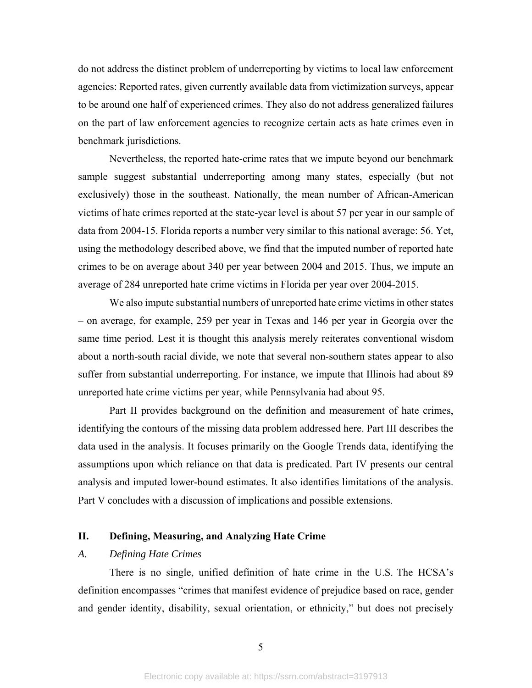do not address the distinct problem of underreporting by victims to local law enforcement agencies: Reported rates, given currently available data from victimization surveys, appear to be around one half of experienced crimes. They also do not address generalized failures on the part of law enforcement agencies to recognize certain acts as hate crimes even in benchmark jurisdictions.

Nevertheless, the reported hate-crime rates that we impute beyond our benchmark sample suggest substantial underreporting among many states, especially (but not exclusively) those in the southeast. Nationally, the mean number of African-American victims of hate crimes reported at the state-year level is about 57 per year in our sample of data from 2004-15. Florida reports a number very similar to this national average: 56. Yet, using the methodology described above, we find that the imputed number of reported hate crimes to be on average about 340 per year between 2004 and 2015. Thus, we impute an average of 284 unreported hate crime victims in Florida per year over 2004-2015.

We also impute substantial numbers of unreported hate crime victims in other states – on average, for example, 259 per year in Texas and 146 per year in Georgia over the same time period. Lest it is thought this analysis merely reiterates conventional wisdom about a north-south racial divide, we note that several non-southern states appear to also suffer from substantial underreporting. For instance, we impute that Illinois had about 89 unreported hate crime victims per year, while Pennsylvania had about 95.

Part II provides background on the definition and measurement of hate crimes, identifying the contours of the missing data problem addressed here. Part III describes the data used in the analysis. It focuses primarily on the Google Trends data, identifying the assumptions upon which reliance on that data is predicated. Part IV presents our central analysis and imputed lower-bound estimates. It also identifies limitations of the analysis. Part V concludes with a discussion of implications and possible extensions.

# **II. Defining, Measuring, and Analyzing Hate Crime**

## *A. Defining Hate Crimes*

There is no single, unified definition of hate crime in the U.S. The HCSA's definition encompasses "crimes that manifest evidence of prejudice based on race, gender and gender identity, disability, sexual orientation, or ethnicity," but does not precisely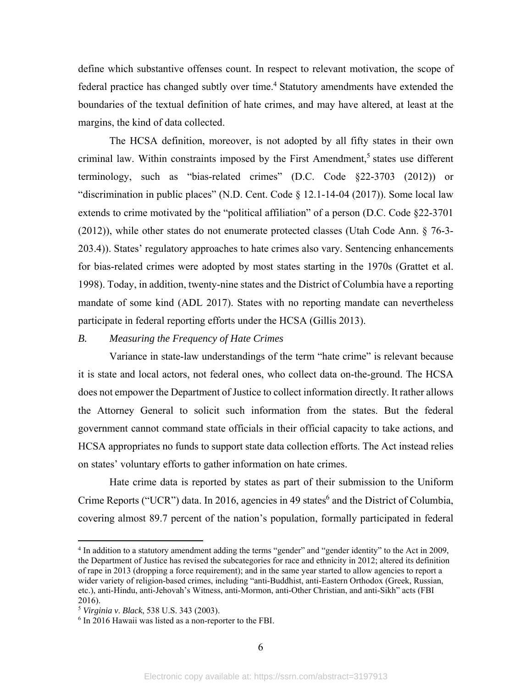define which substantive offenses count. In respect to relevant motivation, the scope of federal practice has changed subtly over time.<sup>4</sup> Statutory amendments have extended the boundaries of the textual definition of hate crimes, and may have altered, at least at the margins, the kind of data collected.

The HCSA definition, moreover, is not adopted by all fifty states in their own criminal law. Within constraints imposed by the First Amendment,<sup>5</sup> states use different terminology, such as "bias-related crimes" (D.C. Code §22-3703 (2012)) or "discrimination in public places" (N.D. Cent. Code § 12.1-14-04 (2017)). Some local law extends to crime motivated by the "political affiliation" of a person (D.C. Code §22-3701 (2012)), while other states do not enumerate protected classes (Utah Code Ann. § 76-3- 203.4)). States' regulatory approaches to hate crimes also vary. Sentencing enhancements for bias-related crimes were adopted by most states starting in the 1970s (Grattet et al. 1998). Today, in addition, twenty-nine states and the District of Columbia have a reporting mandate of some kind (ADL 2017). States with no reporting mandate can nevertheless participate in federal reporting efforts under the HCSA (Gillis 2013).

### *B. Measuring the Frequency of Hate Crimes*

Variance in state-law understandings of the term "hate crime" is relevant because it is state and local actors, not federal ones, who collect data on-the-ground. The HCSA does not empower the Department of Justice to collect information directly. It rather allows the Attorney General to solicit such information from the states. But the federal government cannot command state officials in their official capacity to take actions, and HCSA appropriates no funds to support state data collection efforts. The Act instead relies on states' voluntary efforts to gather information on hate crimes.

Hate crime data is reported by states as part of their submission to the Uniform Crime Reports ("UCR") data. In 2016, agencies in 49 states<sup>6</sup> and the District of Columbia, covering almost 89.7 percent of the nation's population, formally participated in federal

1

<sup>&</sup>lt;sup>4</sup> In addition to a statutory amendment adding the terms "gender" and "gender identity" to the Act in 2009, the Department of Justice has revised the subcategories for race and ethnicity in 2012; altered its definition of rape in 2013 (dropping a force requirement); and in the same year started to allow agencies to report a wider variety of religion-based crimes, including "anti-Buddhist, anti-Eastern Orthodox (Greek, Russian, etc.), anti-Hindu, anti-Jehovah's Witness, anti-Mormon, anti-Other Christian, and anti-Sikh" acts (FBI 2016).

<sup>5</sup> *Virginia v*. *Black*, 538 U.S. 343 (2003).

<sup>&</sup>lt;sup>6</sup> In 2016 Hawaii was listed as a non-reporter to the FBI.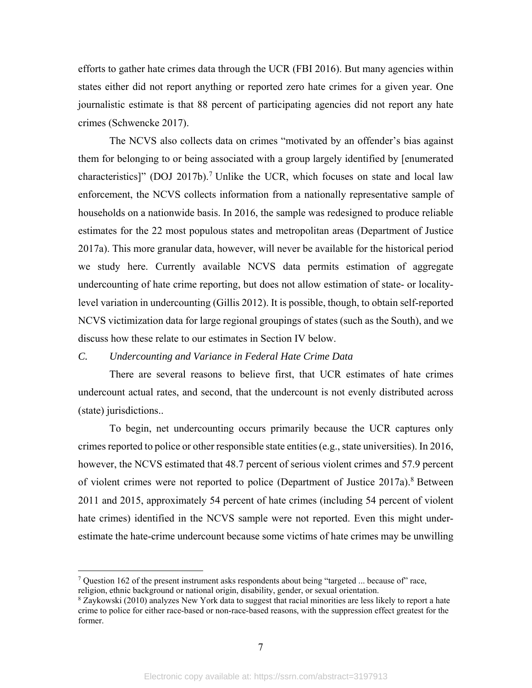efforts to gather hate crimes data through the UCR (FBI 2016). But many agencies within states either did not report anything or reported zero hate crimes for a given year. One journalistic estimate is that 88 percent of participating agencies did not report any hate crimes (Schwencke 2017).

The NCVS also collects data on crimes "motivated by an offender's bias against them for belonging to or being associated with a group largely identified by [enumerated characteristics]" (DOJ 2017b).<sup>7</sup> Unlike the UCR, which focuses on state and local law enforcement, the NCVS collects information from a nationally representative sample of households on a nationwide basis. In 2016, the sample was redesigned to produce reliable estimates for the 22 most populous states and metropolitan areas (Department of Justice 2017a). This more granular data, however, will never be available for the historical period we study here. Currently available NCVS data permits estimation of aggregate undercounting of hate crime reporting, but does not allow estimation of state- or localitylevel variation in undercounting (Gillis 2012). It is possible, though, to obtain self-reported NCVS victimization data for large regional groupings of states (such as the South), and we discuss how these relate to our estimates in Section IV below.

#### *C. Undercounting and Variance in Federal Hate Crime Data*

There are several reasons to believe first, that UCR estimates of hate crimes undercount actual rates, and second, that the undercount is not evenly distributed across (state) jurisdictions..

To begin, net undercounting occurs primarily because the UCR captures only crimes reported to police or other responsible state entities (e.g., state universities). In 2016, however, the NCVS estimated that 48.7 percent of serious violent crimes and 57.9 percent of violent crimes were not reported to police (Department of Justice 2017a).<sup>8</sup> Between 2011 and 2015, approximately 54 percent of hate crimes (including 54 percent of violent hate crimes) identified in the NCVS sample were not reported. Even this might underestimate the hate-crime undercount because some victims of hate crimes may be unwilling

1

<sup>&</sup>lt;sup>7</sup> Question 162 of the present instrument asks respondents about being "targeted ... because of" race, religion, ethnic background or national origin, disability, gender, or sexual orientation.

<sup>&</sup>lt;sup>8</sup> Zaykowski (2010) analyzes New York data to suggest that racial minorities are less likely to report a hate crime to police for either race-based or non-race-based reasons, with the suppression effect greatest for the former.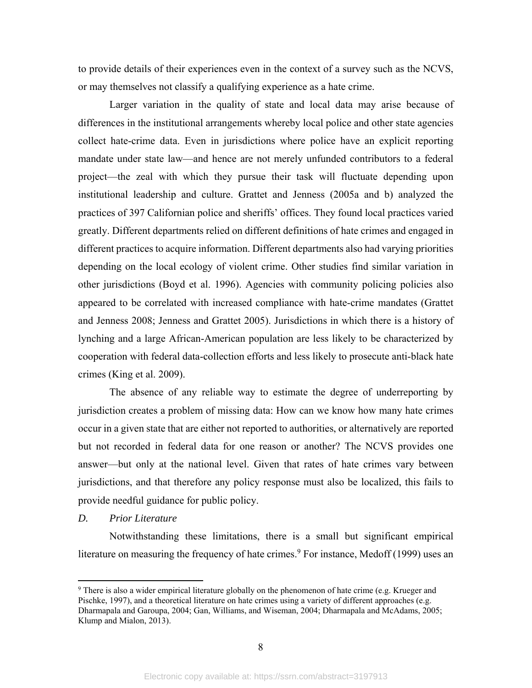to provide details of their experiences even in the context of a survey such as the NCVS, or may themselves not classify a qualifying experience as a hate crime.

Larger variation in the quality of state and local data may arise because of differences in the institutional arrangements whereby local police and other state agencies collect hate-crime data. Even in jurisdictions where police have an explicit reporting mandate under state law—and hence are not merely unfunded contributors to a federal project—the zeal with which they pursue their task will fluctuate depending upon institutional leadership and culture. Grattet and Jenness (2005a and b) analyzed the practices of 397 Californian police and sheriffs' offices. They found local practices varied greatly. Different departments relied on different definitions of hate crimes and engaged in different practices to acquire information. Different departments also had varying priorities depending on the local ecology of violent crime. Other studies find similar variation in other jurisdictions (Boyd et al. 1996). Agencies with community policing policies also appeared to be correlated with increased compliance with hate-crime mandates (Grattet and Jenness 2008; Jenness and Grattet 2005). Jurisdictions in which there is a history of lynching and a large African-American population are less likely to be characterized by cooperation with federal data-collection efforts and less likely to prosecute anti-black hate crimes (King et al. 2009).

The absence of any reliable way to estimate the degree of underreporting by jurisdiction creates a problem of missing data: How can we know how many hate crimes occur in a given state that are either not reported to authorities, or alternatively are reported but not recorded in federal data for one reason or another? The NCVS provides one answer—but only at the national level. Given that rates of hate crimes vary between jurisdictions, and that therefore any policy response must also be localized, this fails to provide needful guidance for public policy.

#### *D. Prior Literature*

 $\overline{a}$ 

Notwithstanding these limitations, there is a small but significant empirical literature on measuring the frequency of hate crimes.<sup>9</sup> For instance, Medoff (1999) uses an

<sup>&</sup>lt;sup>9</sup> There is also a wider empirical literature globally on the phenomenon of hate crime (e.g. Krueger and Pischke, 1997), and a theoretical literature on hate crimes using a variety of different approaches (e.g. Dharmapala and Garoupa, 2004; Gan, Williams, and Wiseman, 2004; Dharmapala and McAdams, 2005; Klump and Mialon, 2013).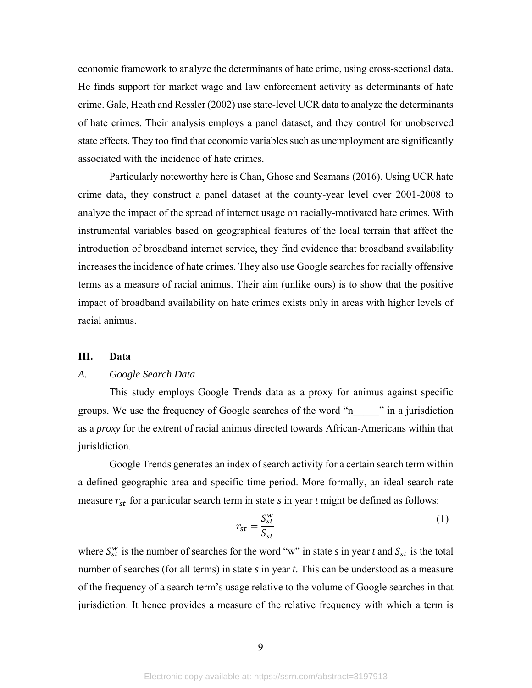economic framework to analyze the determinants of hate crime, using cross-sectional data. He finds support for market wage and law enforcement activity as determinants of hate crime. Gale, Heath and Ressler (2002) use state-level UCR data to analyze the determinants of hate crimes. Their analysis employs a panel dataset, and they control for unobserved state effects. They too find that economic variables such as unemployment are significantly associated with the incidence of hate crimes.

Particularly noteworthy here is Chan, Ghose and Seamans (2016). Using UCR hate crime data, they construct a panel dataset at the county-year level over 2001-2008 to analyze the impact of the spread of internet usage on racially-motivated hate crimes. With instrumental variables based on geographical features of the local terrain that affect the introduction of broadband internet service, they find evidence that broadband availability increases the incidence of hate crimes. They also use Google searches for racially offensive terms as a measure of racial animus. Their aim (unlike ours) is to show that the positive impact of broadband availability on hate crimes exists only in areas with higher levels of racial animus.

#### **III. Data**

### *A. Google Search Data*

 This study employs Google Trends data as a proxy for animus against specific groups. We use the frequency of Google searches of the word "n\_\_\_\_\_" in a jurisdiction as a *proxy* for the extrent of racial animus directed towards African-Americans within that jurisldiction.

Google Trends generates an index of search activity for a certain search term within a defined geographic area and specific time period. More formally, an ideal search rate measure  $r_{st}$  for a particular search term in state  $s$  in year  $t$  might be defined as follows:

$$
r_{st} = \frac{S_{st}^w}{S_{st}} \tag{1}
$$

where  $S_{st}^{w}$  is the number of searches for the word "w" in state *s* in year *t* and  $S_{st}$  is the total number of searches (for all terms) in state *s* in year *t*. This can be understood as a measure of the frequency of a search term's usage relative to the volume of Google searches in that jurisdiction. It hence provides a measure of the relative frequency with which a term is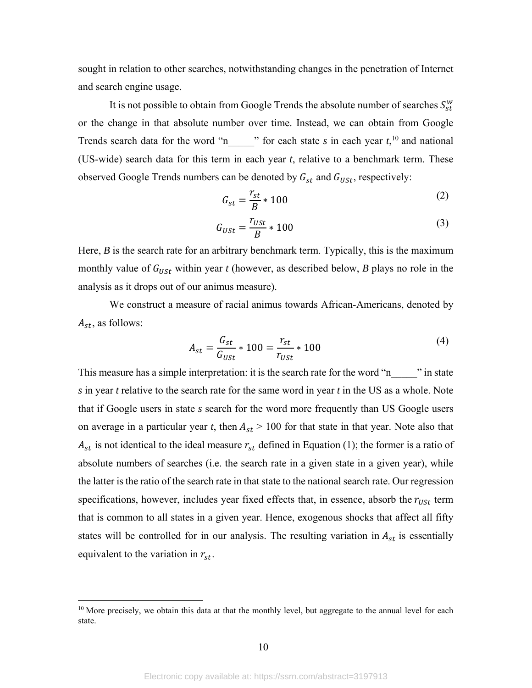sought in relation to other searches, notwithstanding changes in the penetration of Internet and search engine usage.

It is not possible to obtain from Google Trends the absolute number of searches  $S^w_{st}$ or the change in that absolute number over time. Instead, we can obtain from Google Trends search data for the word "n  $\cdots$  " for each state *s* in each year  $t$ ,<sup>10</sup> and national (US-wide) search data for this term in each year *t*, relative to a benchmark term. These observed Google Trends numbers can be denoted by  $G_{st}$  and  $G_{USt}$ , respectively:

$$
G_{st} = \frac{r_{st}}{B} * 100
$$
 (2)

$$
G_{USt} = \frac{r_{USt}}{B} \times 100\tag{3}
$$

Here, *B* is the search rate for an arbitrary benchmark term. Typically, this is the maximum monthly value of  $G_{\text{USt}}$  within year *t* (however, as described below, *B* plays no role in the analysis as it drops out of our animus measure).

 We construct a measure of racial animus towards African-Americans, denoted by  $A_{st}$ , as follows:

$$
A_{st} = \frac{G_{st}}{G_{USt}} * 100 = \frac{r_{st}}{r_{USt}} * 100
$$
 (4)

This measure has a simple interpretation: it is the search rate for the word "n\_\_\_\_\_" in state *s* in year *t* relative to the search rate for the same word in year *t* in the US as a whole. Note that if Google users in state *s* search for the word more frequently than US Google users on average in a particular year *t*, then  $A_{st} > 100$  for that state in that year. Note also that  $A_{st}$  is not identical to the ideal measure  $r_{st}$  defined in Equation (1); the former is a ratio of absolute numbers of searches (i.e. the search rate in a given state in a given year), while the latter is the ratio of the search rate in that state to the national search rate. Our regression specifications, however, includes year fixed effects that, in essence, absorb the  $r_{USt}$  term that is common to all states in a given year. Hence, exogenous shocks that affect all fifty states will be controlled for in our analysis. The resulting variation in  $A_{st}$  is essentially equivalent to the variation in  $r_{st}$ .

<sup>&</sup>lt;sup>10</sup> More precisely, we obtain this data at that the monthly level, but aggregate to the annual level for each state.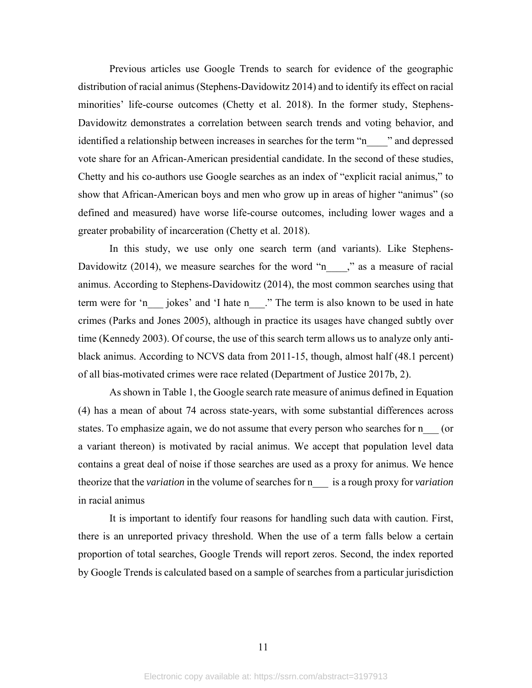Previous articles use Google Trends to search for evidence of the geographic distribution of racial animus (Stephens-Davidowitz 2014) and to identify its effect on racial minorities' life-course outcomes (Chetty et al. 2018). In the former study, Stephens-Davidowitz demonstrates a correlation between search trends and voting behavior, and identified a relationship between increases in searches for the term "n\_\_\_\_\_" and depressed vote share for an African-American presidential candidate. In the second of these studies, Chetty and his co-authors use Google searches as an index of "explicit racial animus," to show that African-American boys and men who grow up in areas of higher "animus" (so defined and measured) have worse life-course outcomes, including lower wages and a greater probability of incarceration (Chetty et al. 2018).

 In this study, we use only one search term (and variants). Like Stephens-Davidowitz  $(2014)$ , we measure searches for the word "n\_\_\_," as a measure of racial animus. According to Stephens-Davidowitz (2014), the most common searches using that term were for 'n \_\_\_ jokes' and 'I hate n\_\_\_." The term is also known to be used in hate crimes (Parks and Jones 2005), although in practice its usages have changed subtly over time (Kennedy 2003). Of course, the use of this search term allows us to analyze only antiblack animus. According to NCVS data from 2011-15, though, almost half (48.1 percent) of all bias-motivated crimes were race related (Department of Justice 2017b, 2).

As shown in Table 1, the Google search rate measure of animus defined in Equation (4) has a mean of about 74 across state-years, with some substantial differences across states. To emphasize again, we do not assume that every person who searches for n  $\qquad$  (or a variant thereon) is motivated by racial animus. We accept that population level data contains a great deal of noise if those searches are used as a proxy for animus. We hence theorize that the *variation* in the volume of searches for n\_\_\_ is a rough proxy for *variation* in racial animus

It is important to identify four reasons for handling such data with caution. First, there is an unreported privacy threshold. When the use of a term falls below a certain proportion of total searches, Google Trends will report zeros. Second, the index reported by Google Trends is calculated based on a sample of searches from a particular jurisdiction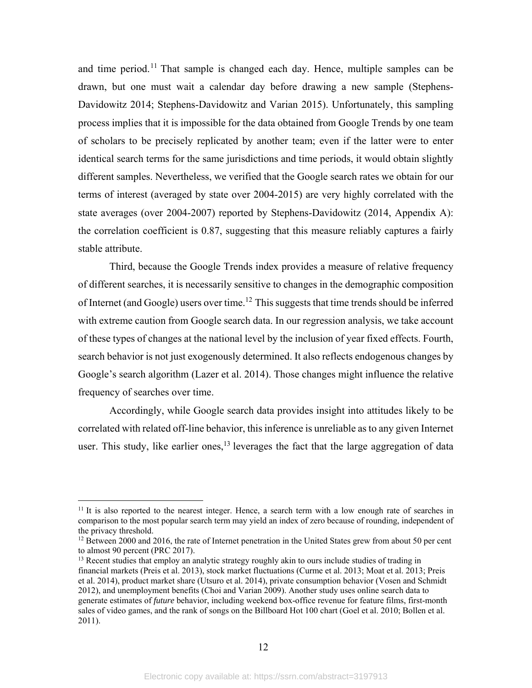and time period.<sup>11</sup> That sample is changed each day. Hence, multiple samples can be drawn, but one must wait a calendar day before drawing a new sample (Stephens-Davidowitz 2014; Stephens-Davidowitz and Varian 2015). Unfortunately, this sampling process implies that it is impossible for the data obtained from Google Trends by one team of scholars to be precisely replicated by another team; even if the latter were to enter identical search terms for the same jurisdictions and time periods, it would obtain slightly different samples. Nevertheless, we verified that the Google search rates we obtain for our terms of interest (averaged by state over 2004-2015) are very highly correlated with the state averages (over 2004-2007) reported by Stephens-Davidowitz (2014, Appendix A): the correlation coefficient is 0.87, suggesting that this measure reliably captures a fairly stable attribute.

Third, because the Google Trends index provides a measure of relative frequency of different searches, it is necessarily sensitive to changes in the demographic composition of Internet (and Google) users over time.<sup>12</sup> This suggests that time trends should be inferred with extreme caution from Google search data. In our regression analysis, we take account of these types of changes at the national level by the inclusion of year fixed effects. Fourth, search behavior is not just exogenously determined. It also reflects endogenous changes by Google's search algorithm (Lazer et al. 2014). Those changes might influence the relative frequency of searches over time.

Accordingly, while Google search data provides insight into attitudes likely to be correlated with related off-line behavior, this inference is unreliable as to any given Internet user. This study, like earlier ones,  $13$  leverages the fact that the large aggregation of data

<u>.</u>

 $11$  It is also reported to the nearest integer. Hence, a search term with a low enough rate of searches in comparison to the most popular search term may yield an index of zero because of rounding, independent of the privacy threshold.

 $12$  Between 2000 and 2016, the rate of Internet penetration in the United States grew from about 50 per cent to almost 90 percent (PRC 2017).

<sup>&</sup>lt;sup>13</sup> Recent studies that employ an analytic strategy roughly akin to ours include studies of trading in financial markets (Preis et al. 2013), stock market fluctuations (Curme et al. 2013; Moat et al. 2013; Preis et al. 2014), product market share (Utsuro et al. 2014), private consumption behavior (Vosen and Schmidt 2012), and unemployment benefits (Choi and Varian 2009). Another study uses online search data to generate estimates of *future* behavior, including weekend box-office revenue for feature films, first-month sales of video games, and the rank of songs on the Billboard Hot 100 chart (Goel et al. 2010; Bollen et al. 2011).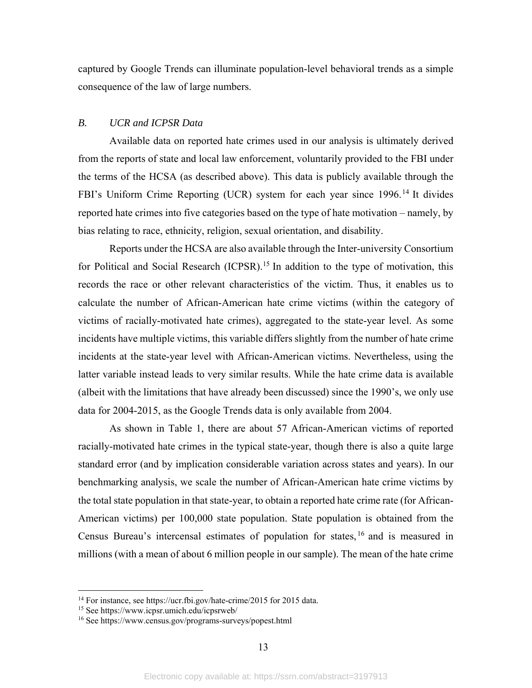captured by Google Trends can illuminate population-level behavioral trends as a simple consequence of the law of large numbers.

#### *B. UCR and ICPSR Data*

Available data on reported hate crimes used in our analysis is ultimately derived from the reports of state and local law enforcement, voluntarily provided to the FBI under the terms of the HCSA (as described above). This data is publicly available through the FBI's Uniform Crime Reporting (UCR) system for each year since 1996.<sup>14</sup> It divides reported hate crimes into five categories based on the type of hate motivation – namely, by bias relating to race, ethnicity, religion, sexual orientation, and disability.

 Reports under the HCSA are also available through the Inter-university Consortium for Political and Social Research (ICPSR).<sup>15</sup> In addition to the type of motivation, this records the race or other relevant characteristics of the victim. Thus, it enables us to calculate the number of African-American hate crime victims (within the category of victims of racially-motivated hate crimes), aggregated to the state-year level. As some incidents have multiple victims, this variable differs slightly from the number of hate crime incidents at the state-year level with African-American victims. Nevertheless, using the latter variable instead leads to very similar results. While the hate crime data is available (albeit with the limitations that have already been discussed) since the 1990's, we only use data for 2004-2015, as the Google Trends data is only available from 2004.

 As shown in Table 1, there are about 57 African-American victims of reported racially-motivated hate crimes in the typical state-year, though there is also a quite large standard error (and by implication considerable variation across states and years). In our benchmarking analysis, we scale the number of African-American hate crime victims by the total state population in that state-year, to obtain a reported hate crime rate (for African-American victims) per 100,000 state population. State population is obtained from the Census Bureau's intercensal estimates of population for states, 16 and is measured in millions (with a mean of about 6 million people in our sample). The mean of the hate crime

<sup>&</sup>lt;sup>14</sup> For instance, see https://ucr.fbi.gov/hate-crime/2015 for 2015 data.

<sup>15</sup> See https://www.icpsr.umich.edu/icpsrweb/

<sup>16</sup> See https://www.census.gov/programs-surveys/popest.html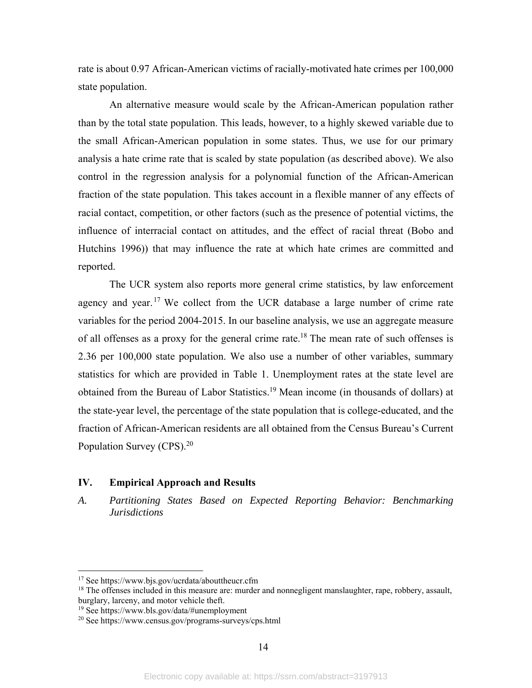rate is about 0.97 African-American victims of racially-motivated hate crimes per 100,000 state population.

 An alternative measure would scale by the African-American population rather than by the total state population. This leads, however, to a highly skewed variable due to the small African-American population in some states. Thus, we use for our primary analysis a hate crime rate that is scaled by state population (as described above). We also control in the regression analysis for a polynomial function of the African-American fraction of the state population. This takes account in a flexible manner of any effects of racial contact, competition, or other factors (such as the presence of potential victims, the influence of interracial contact on attitudes, and the effect of racial threat (Bobo and Hutchins 1996)) that may influence the rate at which hate crimes are committed and reported.

 The UCR system also reports more general crime statistics, by law enforcement agency and year.<sup>17</sup> We collect from the UCR database a large number of crime rate variables for the period 2004-2015. In our baseline analysis, we use an aggregate measure of all offenses as a proxy for the general crime rate.<sup>18</sup> The mean rate of such offenses is 2.36 per 100,000 state population. We also use a number of other variables, summary statistics for which are provided in Table 1. Unemployment rates at the state level are obtained from the Bureau of Labor Statistics.<sup>19</sup> Mean income (in thousands of dollars) at the state-year level, the percentage of the state population that is college-educated, and the fraction of African-American residents are all obtained from the Census Bureau's Current Population Survey (CPS).<sup>20</sup>

# **IV. Empirical Approach and Results**

*A. Partitioning States Based on Expected Reporting Behavior: Benchmarking Jurisdictions* 

<sup>17</sup> See https://www.bjs.gov/ucrdata/abouttheucr.cfm

<sup>&</sup>lt;sup>18</sup> The offenses included in this measure are: murder and nonnegligent manslaughter, rape, robbery, assault, burglary, larceny, and motor vehicle theft.

<sup>19</sup> See https://www.bls.gov/data/#unemployment

<sup>20</sup> See https://www.census.gov/programs-surveys/cps.html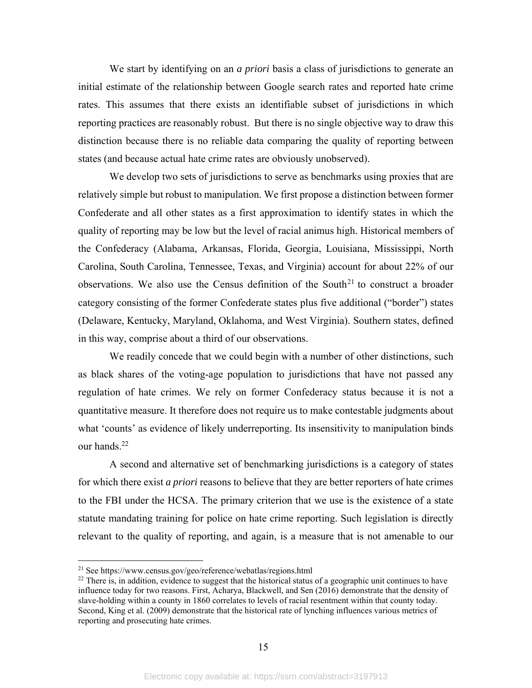We start by identifying on an *a priori* basis a class of jurisdictions to generate an initial estimate of the relationship between Google search rates and reported hate crime rates. This assumes that there exists an identifiable subset of jurisdictions in which reporting practices are reasonably robust. But there is no single objective way to draw this distinction because there is no reliable data comparing the quality of reporting between states (and because actual hate crime rates are obviously unobserved).

We develop two sets of jurisdictions to serve as benchmarks using proxies that are relatively simple but robust to manipulation. We first propose a distinction between former Confederate and all other states as a first approximation to identify states in which the quality of reporting may be low but the level of racial animus high. Historical members of the Confederacy (Alabama, Arkansas, Florida, Georgia, Louisiana, Mississippi, North Carolina, South Carolina, Tennessee, Texas, and Virginia) account for about 22% of our observations. We also use the Census definition of the South<sup>21</sup> to construct a broader category consisting of the former Confederate states plus five additional ("border") states (Delaware, Kentucky, Maryland, Oklahoma, and West Virginia). Southern states, defined in this way, comprise about a third of our observations.

We readily concede that we could begin with a number of other distinctions, such as black shares of the voting-age population to jurisdictions that have not passed any regulation of hate crimes. We rely on former Confederacy status because it is not a quantitative measure. It therefore does not require us to make contestable judgments about what 'counts' as evidence of likely underreporting. Its insensitivity to manipulation binds our hands.22

A second and alternative set of benchmarking jurisdictions is a category of states for which there exist *a priori* reasons to believe that they are better reporters of hate crimes to the FBI under the HCSA. The primary criterion that we use is the existence of a state statute mandating training for police on hate crime reporting. Such legislation is directly relevant to the quality of reporting, and again, is a measure that is not amenable to our

<sup>21</sup> See https://www.census.gov/geo/reference/webatlas/regions.html

 $^{22}$  There is, in addition, evidence to suggest that the historical status of a geographic unit continues to have influence today for two reasons. First, Acharya, Blackwell, and Sen (2016) demonstrate that the density of slave-holding within a county in 1860 correlates to levels of racial resentment within that county today. Second, King et al. (2009) demonstrate that the historical rate of lynching influences various metrics of reporting and prosecuting hate crimes.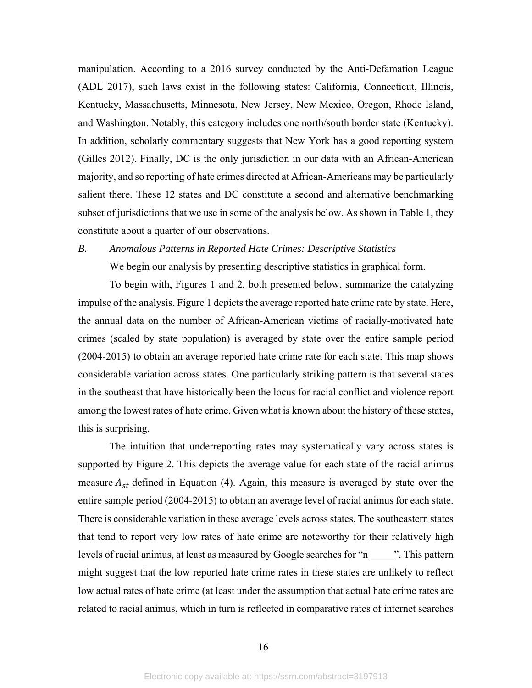manipulation. According to a 2016 survey conducted by the Anti-Defamation League (ADL 2017), such laws exist in the following states: California, Connecticut, Illinois, Kentucky, Massachusetts, Minnesota, New Jersey, New Mexico, Oregon, Rhode Island, and Washington. Notably, this category includes one north/south border state (Kentucky). In addition, scholarly commentary suggests that New York has a good reporting system (Gilles 2012). Finally, DC is the only jurisdiction in our data with an African-American majority, and so reporting of hate crimes directed at African-Americans may be particularly salient there. These 12 states and DC constitute a second and alternative benchmarking subset of jurisdictions that we use in some of the analysis below. As shown in Table 1, they constitute about a quarter of our observations.

# *B. Anomalous Patterns in Reported Hate Crimes: Descriptive Statistics*

We begin our analysis by presenting descriptive statistics in graphical form.

To begin with, Figures 1 and 2, both presented below, summarize the catalyzing impulse of the analysis. Figure 1 depicts the average reported hate crime rate by state. Here, the annual data on the number of African-American victims of racially-motivated hate crimes (scaled by state population) is averaged by state over the entire sample period (2004-2015) to obtain an average reported hate crime rate for each state. This map shows considerable variation across states. One particularly striking pattern is that several states in the southeast that have historically been the locus for racial conflict and violence report among the lowest rates of hate crime. Given what is known about the history of these states, this is surprising.

The intuition that underreporting rates may systematically vary across states is supported by Figure 2. This depicts the average value for each state of the racial animus measure  $A_{st}$  defined in Equation (4). Again, this measure is averaged by state over the entire sample period (2004-2015) to obtain an average level of racial animus for each state. There is considerable variation in these average levels across states. The southeastern states that tend to report very low rates of hate crime are noteworthy for their relatively high levels of racial animus, at least as measured by Google searches for "n\_\_\_\_\_". This pattern might suggest that the low reported hate crime rates in these states are unlikely to reflect low actual rates of hate crime (at least under the assumption that actual hate crime rates are related to racial animus, which in turn is reflected in comparative rates of internet searches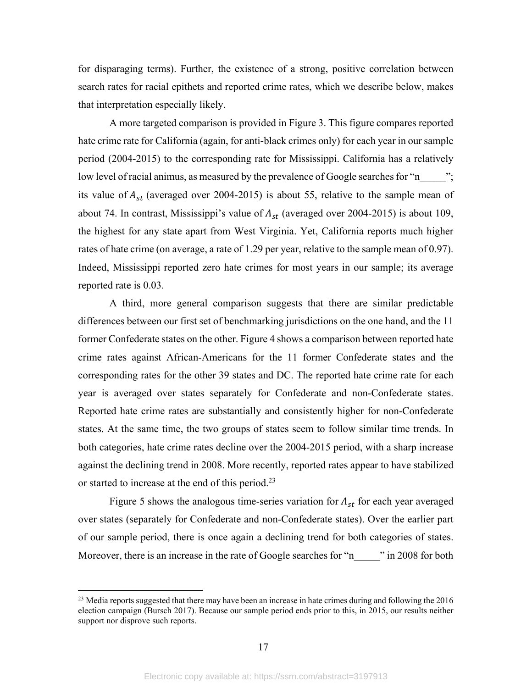for disparaging terms). Further, the existence of a strong, positive correlation between search rates for racial epithets and reported crime rates, which we describe below, makes that interpretation especially likely.

A more targeted comparison is provided in Figure 3. This figure compares reported hate crime rate for California (again, for anti-black crimes only) for each year in our sample period (2004-2015) to the corresponding rate for Mississippi. California has a relatively low level of racial animus, as measured by the prevalence of Google searches for "n  $\cdots$ "; its value of  $A_{st}$  (averaged over 2004-2015) is about 55, relative to the sample mean of about 74. In contrast, Mississippi's value of  $A_{st}$  (averaged over 2004-2015) is about 109, the highest for any state apart from West Virginia. Yet, California reports much higher rates of hate crime (on average, a rate of 1.29 per year, relative to the sample mean of 0.97). Indeed, Mississippi reported zero hate crimes for most years in our sample; its average reported rate is 0.03.

 A third, more general comparison suggests that there are similar predictable differences between our first set of benchmarking jurisdictions on the one hand, and the 11 former Confederate states on the other. Figure 4 shows a comparison between reported hate crime rates against African-Americans for the 11 former Confederate states and the corresponding rates for the other 39 states and DC. The reported hate crime rate for each year is averaged over states separately for Confederate and non-Confederate states. Reported hate crime rates are substantially and consistently higher for non-Confederate states. At the same time, the two groups of states seem to follow similar time trends. In both categories, hate crime rates decline over the 2004-2015 period, with a sharp increase against the declining trend in 2008. More recently, reported rates appear to have stabilized or started to increase at the end of this period.<sup>23</sup>

Figure 5 shows the analogous time-series variation for  $A_{st}$  for each year averaged over states (separately for Confederate and non-Confederate states). Over the earlier part of our sample period, there is once again a declining trend for both categories of states. Moreover, there is an increase in the rate of Google searches for "n\_\_\_\_\_" in 2008 for both

<sup>&</sup>lt;sup>23</sup> Media reports suggested that there may have been an increase in hate crimes during and following the 2016 election campaign (Bursch 2017). Because our sample period ends prior to this, in 2015, our results neither support nor disprove such reports.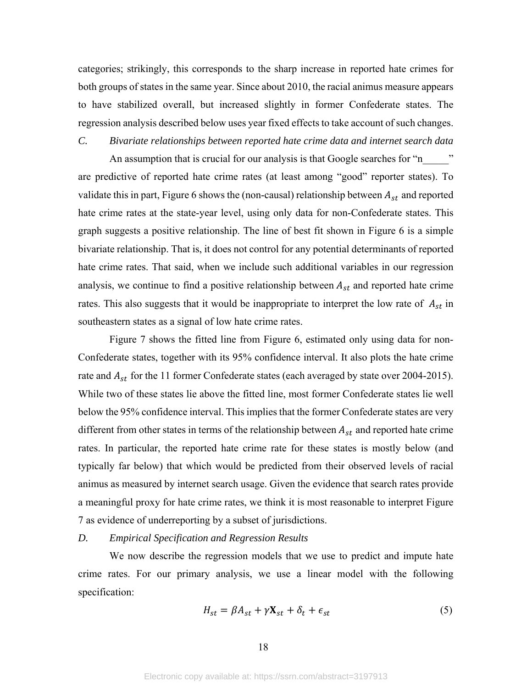categories; strikingly, this corresponds to the sharp increase in reported hate crimes for both groups of states in the same year. Since about 2010, the racial animus measure appears to have stabilized overall, but increased slightly in former Confederate states. The regression analysis described below uses year fixed effects to take account of such changes.

# *C. Bivariate relationships between reported hate crime data and internet search data*

An assumption that is crucial for our analysis is that Google searches for "n are predictive of reported hate crime rates (at least among "good" reporter states). To validate this in part, Figure 6 shows the (non-causal) relationship between  $A_{st}$  and reported hate crime rates at the state-year level, using only data for non-Confederate states. This graph suggests a positive relationship. The line of best fit shown in Figure 6 is a simple bivariate relationship. That is, it does not control for any potential determinants of reported hate crime rates. That said, when we include such additional variables in our regression analysis, we continue to find a positive relationship between  $A_{st}$  and reported hate crime rates. This also suggests that it would be inappropriate to interpret the low rate of  $A_{st}$  in southeastern states as a signal of low hate crime rates.

Figure 7 shows the fitted line from Figure 6, estimated only using data for non-Confederate states, together with its 95% confidence interval. It also plots the hate crime rate and  $A_{st}$  for the 11 former Confederate states (each averaged by state over 2004-2015). While two of these states lie above the fitted line, most former Confederate states lie well below the 95% confidence interval. This implies that the former Confederate states are very different from other states in terms of the relationship between  $A_{st}$  and reported hate crime rates. In particular, the reported hate crime rate for these states is mostly below (and typically far below) that which would be predicted from their observed levels of racial animus as measured by internet search usage. Given the evidence that search rates provide a meaningful proxy for hate crime rates, we think it is most reasonable to interpret Figure 7 as evidence of underreporting by a subset of jurisdictions.

#### *D. Empirical Specification and Regression Results*

 We now describe the regression models that we use to predict and impute hate crime rates. For our primary analysis, we use a linear model with the following specification:

$$
H_{st} = \beta A_{st} + \gamma \mathbf{X}_{st} + \delta_t + \epsilon_{st} \tag{5}
$$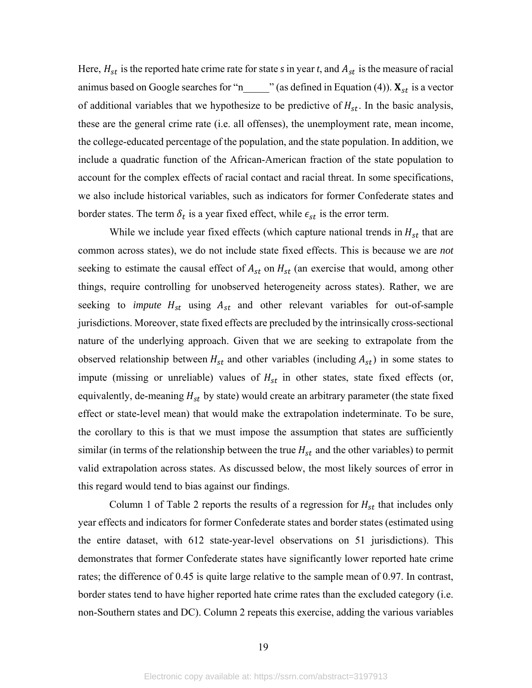Here,  $H_{st}$  is the reported hate crime rate for state *s* in year *t*, and  $A_{st}$  is the measure of racial animus based on Google searches for "n\_\_\_\_\_\_" (as defined in Equation (4)).  $X_{st}$  is a vector of additional variables that we hypothesize to be predictive of  $H_{st}$ . In the basic analysis, these are the general crime rate (i.e. all offenses), the unemployment rate, mean income, the college-educated percentage of the population, and the state population. In addition, we include a quadratic function of the African-American fraction of the state population to account for the complex effects of racial contact and racial threat. In some specifications, we also include historical variables, such as indicators for former Confederate states and border states. The term  $\delta_t$  is a year fixed effect, while  $\epsilon_{st}$  is the error term.

While we include year fixed effects (which capture national trends in  $H_{st}$  that are common across states), we do not include state fixed effects. This is because we are *not*  seeking to estimate the causal effect of  $A_{st}$  on  $H_{st}$  (an exercise that would, among other things, require controlling for unobserved heterogeneity across states). Rather, we are seeking to *impute*  $H_{st}$  using  $A_{st}$  and other relevant variables for out-of-sample jurisdictions. Moreover, state fixed effects are precluded by the intrinsically cross-sectional nature of the underlying approach. Given that we are seeking to extrapolate from the observed relationship between  $H_{st}$  and other variables (including  $A_{st}$ ) in some states to impute (missing or unreliable) values of  $H_{st}$  in other states, state fixed effects (or, equivalently, de-meaning  $H_{st}$  by state) would create an arbitrary parameter (the state fixed effect or state-level mean) that would make the extrapolation indeterminate. To be sure, the corollary to this is that we must impose the assumption that states are sufficiently similar (in terms of the relationship between the true  $H_{st}$  and the other variables) to permit valid extrapolation across states. As discussed below, the most likely sources of error in this regard would tend to bias against our findings.

Column 1 of Table 2 reports the results of a regression for  $H_{st}$  that includes only year effects and indicators for former Confederate states and border states (estimated using the entire dataset, with 612 state-year-level observations on 51 jurisdictions). This demonstrates that former Confederate states have significantly lower reported hate crime rates; the difference of 0.45 is quite large relative to the sample mean of 0.97. In contrast, border states tend to have higher reported hate crime rates than the excluded category (i.e. non-Southern states and DC). Column 2 repeats this exercise, adding the various variables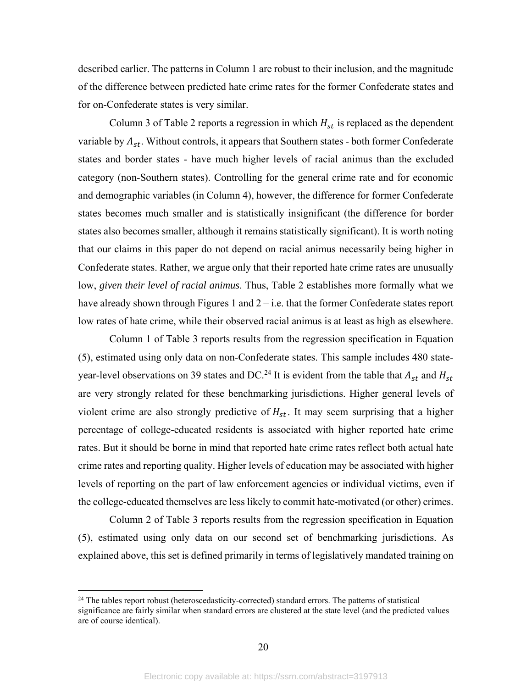described earlier. The patterns in Column 1 are robust to their inclusion, and the magnitude of the difference between predicted hate crime rates for the former Confederate states and for on-Confederate states is very similar.

Column 3 of Table 2 reports a regression in which  $H_{st}$  is replaced as the dependent variable by  $A_{st}$ . Without controls, it appears that Southern states - both former Confederate states and border states - have much higher levels of racial animus than the excluded category (non-Southern states). Controlling for the general crime rate and for economic and demographic variables (in Column 4), however, the difference for former Confederate states becomes much smaller and is statistically insignificant (the difference for border states also becomes smaller, although it remains statistically significant). It is worth noting that our claims in this paper do not depend on racial animus necessarily being higher in Confederate states. Rather, we argue only that their reported hate crime rates are unusually low, *given their level of racial animus*. Thus, Table 2 establishes more formally what we have already shown through Figures 1 and 2 – i.e. that the former Confederate states report low rates of hate crime, while their observed racial animus is at least as high as elsewhere.

 Column 1 of Table 3 reports results from the regression specification in Equation (5), estimated using only data on non-Confederate states. This sample includes 480 stateyear-level observations on 39 states and DC.<sup>24</sup> It is evident from the table that  $A_{st}$  and  $H_{st}$ are very strongly related for these benchmarking jurisdictions. Higher general levels of violent crime are also strongly predictive of  $H<sub>st</sub>$ . It may seem surprising that a higher percentage of college-educated residents is associated with higher reported hate crime rates. But it should be borne in mind that reported hate crime rates reflect both actual hate crime rates and reporting quality. Higher levels of education may be associated with higher levels of reporting on the part of law enforcement agencies or individual victims, even if the college-educated themselves are less likely to commit hate-motivated (or other) crimes.

Column 2 of Table 3 reports results from the regression specification in Equation (5), estimated using only data on our second set of benchmarking jurisdictions. As explained above, this set is defined primarily in terms of legislatively mandated training on

 $24$  The tables report robust (heteroscedasticity-corrected) standard errors. The patterns of statistical significance are fairly similar when standard errors are clustered at the state level (and the predicted values are of course identical).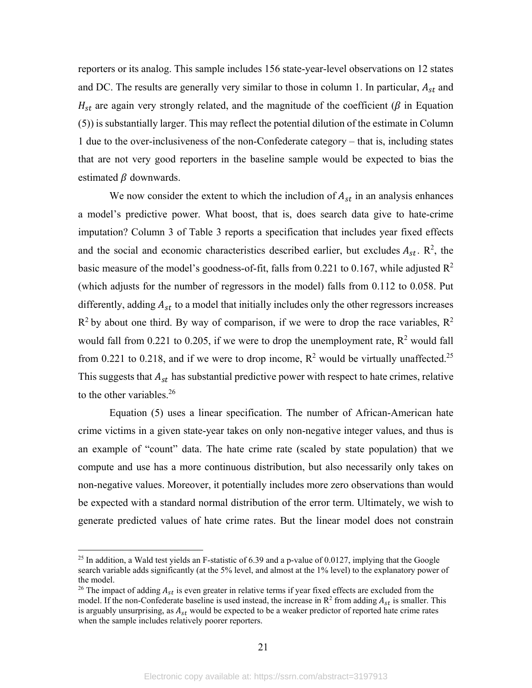reporters or its analog. This sample includes 156 state-year-level observations on 12 states and DC. The results are generally very similar to those in column 1. In particular,  $A_{st}$  and  $H_{st}$  are again very strongly related, and the magnitude of the coefficient ( $\beta$  in Equation (5)) is substantially larger. This may reflect the potential dilution of the estimate in Column 1 due to the over-inclusiveness of the non-Confederate category – that is, including states that are not very good reporters in the baseline sample would be expected to bias the estimated  $\beta$  downwards.

We now consider the extent to which the includion of  $A_{st}$  in an analysis enhances a model's predictive power. What boost, that is, does search data give to hate-crime imputation? Column 3 of Table 3 reports a specification that includes year fixed effects and the social and economic characteristics described earlier, but excludes  $A_{st}$ .  $\mathbb{R}^2$ , the basic measure of the model's goodness-of-fit, falls from 0.221 to 0.167, while adjusted  $\mathbb{R}^2$ (which adjusts for the number of regressors in the model) falls from 0.112 to 0.058. Put differently, adding  $A_{st}$  to a model that initially includes only the other regressors increases  $R^2$  by about one third. By way of comparison, if we were to drop the race variables,  $R^2$ would fall from 0.221 to 0.205, if we were to drop the unemployment rate,  $R^2$  would fall from 0.221 to 0.218, and if we were to drop income,  $R^2$  would be virtually unaffected.<sup>25</sup> This suggests that  $A_{st}$  has substantial predictive power with respect to hate crimes, relative to the other variables. $26$ 

Equation (5) uses a linear specification. The number of African-American hate crime victims in a given state-year takes on only non-negative integer values, and thus is an example of "count" data. The hate crime rate (scaled by state population) that we compute and use has a more continuous distribution, but also necessarily only takes on non-negative values. Moreover, it potentially includes more zero observations than would be expected with a standard normal distribution of the error term. Ultimately, we wish to generate predicted values of hate crime rates. But the linear model does not constrain

 $^{25}$  In addition, a Wald test yields an F-statistic of 6.39 and a p-value of 0.0127, implying that the Google search variable adds significantly (at the 5% level, and almost at the 1% level) to the explanatory power of the model.

<sup>&</sup>lt;sup>26</sup> The impact of adding  $A_{st}$  is even greater in relative terms if year fixed effects are excluded from the model. If the non-Confederate baseline is used instead, the increase in  $R^2$  from adding  $A_{st}$  is smaller. This is arguably unsurprising, as  $A_{st}$  would be expected to be a weaker predictor of reported hate crime rates when the sample includes relatively poorer reporters.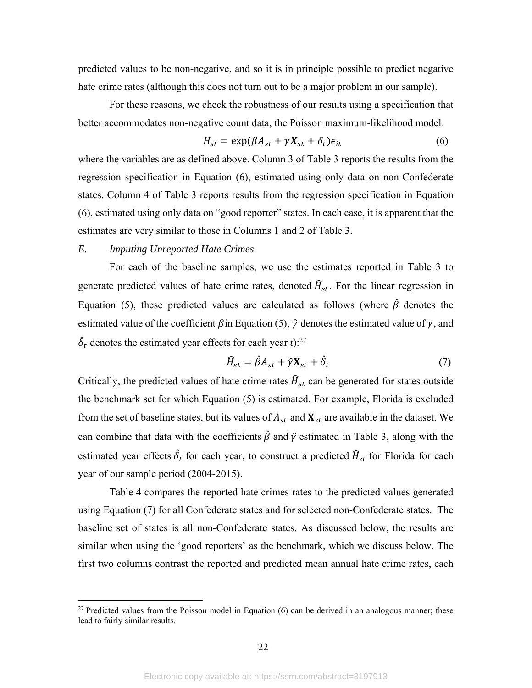predicted values to be non-negative, and so it is in principle possible to predict negative hate crime rates (although this does not turn out to be a major problem in our sample).

For these reasons, we check the robustness of our results using a specification that better accommodates non-negative count data, the Poisson maximum-likelihood model:

$$
H_{st} = \exp(\beta A_{st} + \gamma X_{st} + \delta_t)\epsilon_{it}
$$
 (6)

where the variables are as defined above. Column 3 of Table 3 reports the results from the regression specification in Equation (6), estimated using only data on non-Confederate states. Column 4 of Table 3 reports results from the regression specification in Equation (6), estimated using only data on "good reporter" states. In each case, it is apparent that the estimates are very similar to those in Columns 1 and 2 of Table 3.

### *E. Imputing Unreported Hate Crimes*

 $\overline{a}$ 

For each of the baseline samples, we use the estimates reported in Table 3 to generate predicted values of hate crime rates, denoted  $\hat{H}_{st}$ . For the linear regression in Equation (5), these predicted values are calculated as follows (where  $\hat{\beta}$  denotes the estimated value of the coefficient  $\beta$  in Equation (5),  $\hat{\gamma}$  denotes the estimated value of  $\gamma$ , and  $\hat{\delta}_t$  denotes the estimated year effects for each year *t*):<sup>27</sup>

$$
\widehat{H}_{st} = \widehat{\beta} A_{st} + \widehat{\gamma} \mathbf{X}_{st} + \widehat{\delta}_t \tag{7}
$$

Critically, the predicted values of hate crime rates  $\hat{H}_{st}$  can be generated for states outside the benchmark set for which Equation (5) is estimated. For example, Florida is excluded from the set of baseline states, but its values of  $A_{st}$  and  $\mathbf{X}_{st}$  are available in the dataset. We can combine that data with the coefficients  $\hat{\beta}$  and  $\hat{\gamma}$  estimated in Table 3, along with the estimated year effects  $\hat{\delta}_t$  for each year, to construct a predicted  $\widehat{H}_{st}$  for Florida for each year of our sample period (2004-2015).

 Table 4 compares the reported hate crimes rates to the predicted values generated using Equation (7) for all Confederate states and for selected non-Confederate states. The baseline set of states is all non-Confederate states. As discussed below, the results are similar when using the 'good reporters' as the benchmark, which we discuss below. The first two columns contrast the reported and predicted mean annual hate crime rates, each

 $27$  Predicted values from the Poisson model in Equation (6) can be derived in an analogous manner; these lead to fairly similar results.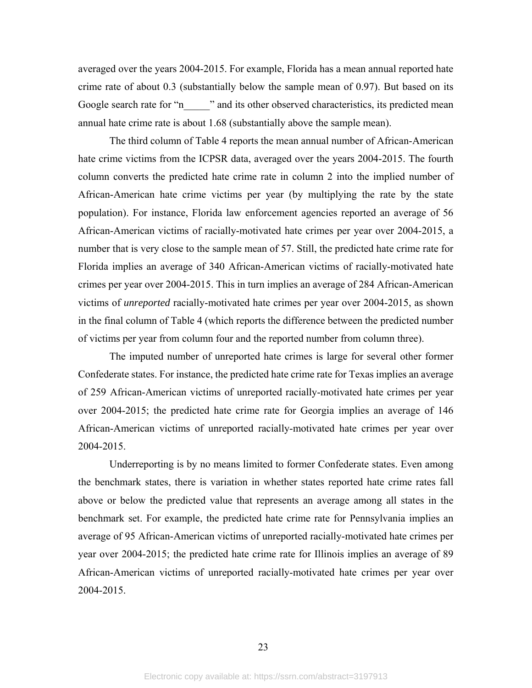averaged over the years 2004-2015. For example, Florida has a mean annual reported hate crime rate of about 0.3 (substantially below the sample mean of 0.97). But based on its Google search rate for "n\_\_\_\_\_" and its other observed characteristics, its predicted mean annual hate crime rate is about 1.68 (substantially above the sample mean).

The third column of Table 4 reports the mean annual number of African-American hate crime victims from the ICPSR data, averaged over the years 2004-2015. The fourth column converts the predicted hate crime rate in column 2 into the implied number of African-American hate crime victims per year (by multiplying the rate by the state population). For instance, Florida law enforcement agencies reported an average of 56 African-American victims of racially-motivated hate crimes per year over 2004-2015, a number that is very close to the sample mean of 57. Still, the predicted hate crime rate for Florida implies an average of 340 African-American victims of racially-motivated hate crimes per year over 2004-2015. This in turn implies an average of 284 African-American victims of *unreported* racially-motivated hate crimes per year over 2004-2015, as shown in the final column of Table 4 (which reports the difference between the predicted number of victims per year from column four and the reported number from column three).

 The imputed number of unreported hate crimes is large for several other former Confederate states. For instance, the predicted hate crime rate for Texas implies an average of 259 African-American victims of unreported racially-motivated hate crimes per year over 2004-2015; the predicted hate crime rate for Georgia implies an average of 146 African-American victims of unreported racially-motivated hate crimes per year over 2004-2015.

Underreporting is by no means limited to former Confederate states. Even among the benchmark states, there is variation in whether states reported hate crime rates fall above or below the predicted value that represents an average among all states in the benchmark set. For example, the predicted hate crime rate for Pennsylvania implies an average of 95 African-American victims of unreported racially-motivated hate crimes per year over 2004-2015; the predicted hate crime rate for Illinois implies an average of 89 African-American victims of unreported racially-motivated hate crimes per year over 2004-2015.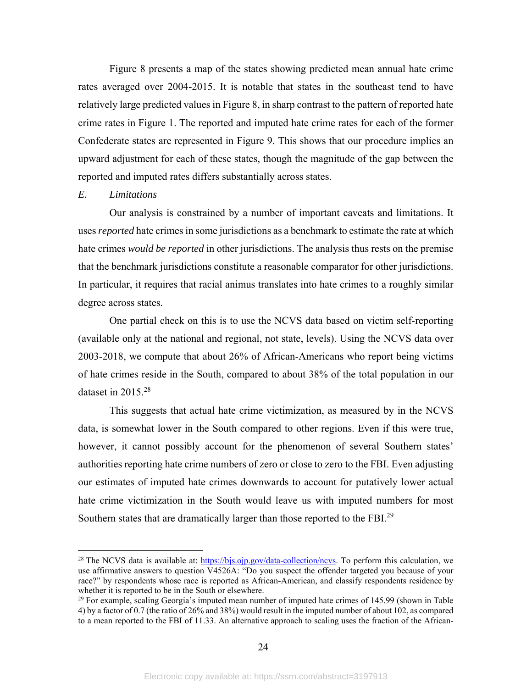Figure 8 presents a map of the states showing predicted mean annual hate crime rates averaged over 2004-2015. It is notable that states in the southeast tend to have relatively large predicted values in Figure 8, in sharp contrast to the pattern of reported hate crime rates in Figure 1. The reported and imputed hate crime rates for each of the former Confederate states are represented in Figure 9. This shows that our procedure implies an upward adjustment for each of these states, though the magnitude of the gap between the reported and imputed rates differs substantially across states.

#### *E. Limitations*

 $\overline{a}$ 

 Our analysis is constrained by a number of important caveats and limitations. It uses *reported* hate crimes in some jurisdictions as a benchmark to estimate the rate at which hate crimes *would be reported* in other jurisdictions. The analysis thus rests on the premise that the benchmark jurisdictions constitute a reasonable comparator for other jurisdictions. In particular, it requires that racial animus translates into hate crimes to a roughly similar degree across states.

One partial check on this is to use the NCVS data based on victim self-reporting (available only at the national and regional, not state, levels). Using the NCVS data over 2003-2018, we compute that about 26% of African-Americans who report being victims of hate crimes reside in the South, compared to about 38% of the total population in our dataset in 2015.<sup>28</sup>

This suggests that actual hate crime victimization, as measured by in the NCVS data, is somewhat lower in the South compared to other regions. Even if this were true, however, it cannot possibly account for the phenomenon of several Southern states' authorities reporting hate crime numbers of zero or close to zero to the FBI. Even adjusting our estimates of imputed hate crimes downwards to account for putatively lower actual hate crime victimization in the South would leave us with imputed numbers for most Southern states that are dramatically larger than those reported to the FBI.29

<sup>&</sup>lt;sup>28</sup> The NCVS data is available at:  $\frac{https://bis.ojp.gov/data-collection/ncvs.}{https://bis.ojp.gov/data-collection/ncvs.}$  To perform this calculation, we use affirmative answers to question V4526A: "Do you suspect the offender targeted you because of your race?" by respondents whose race is reported as African-American, and classify respondents residence by whether it is reported to be in the South or elsewhere.

 $29$  For example, scaling Georgia's imputed mean number of imputed hate crimes of 145.99 (shown in Table 4) by a factor of 0.7 (the ratio of 26% and 38%) would result in the imputed number of about 102, as compared to a mean reported to the FBI of 11.33. An alternative approach to scaling uses the fraction of the African-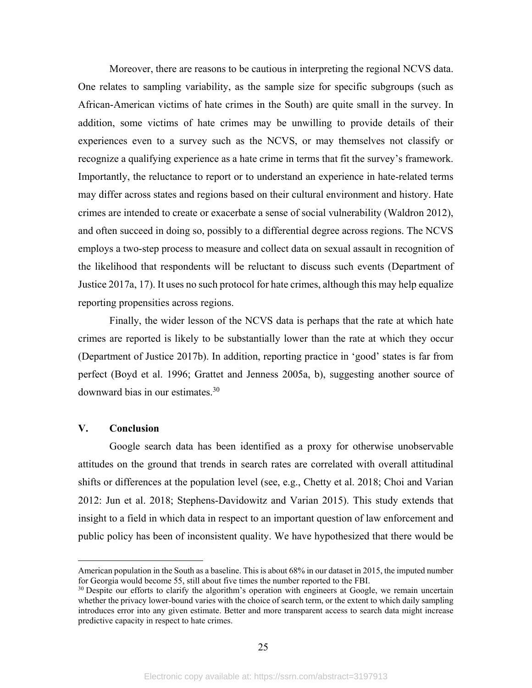Moreover, there are reasons to be cautious in interpreting the regional NCVS data. One relates to sampling variability, as the sample size for specific subgroups (such as African-American victims of hate crimes in the South) are quite small in the survey. In addition, some victims of hate crimes may be unwilling to provide details of their experiences even to a survey such as the NCVS, or may themselves not classify or recognize a qualifying experience as a hate crime in terms that fit the survey's framework. Importantly, the reluctance to report or to understand an experience in hate-related terms may differ across states and regions based on their cultural environment and history. Hate crimes are intended to create or exacerbate a sense of social vulnerability (Waldron 2012), and often succeed in doing so, possibly to a differential degree across regions. The NCVS employs a two-step process to measure and collect data on sexual assault in recognition of the likelihood that respondents will be reluctant to discuss such events (Department of Justice 2017a, 17). It uses no such protocol for hate crimes, although this may help equalize reporting propensities across regions.

Finally, the wider lesson of the NCVS data is perhaps that the rate at which hate crimes are reported is likely to be substantially lower than the rate at which they occur (Department of Justice 2017b). In addition, reporting practice in 'good' states is far from perfect (Boyd et al. 1996; Grattet and Jenness 2005a, b), suggesting another source of downward bias in our estimates.30

### **V. Conclusion**

 $\overline{a}$ 

Google search data has been identified as a proxy for otherwise unobservable attitudes on the ground that trends in search rates are correlated with overall attitudinal shifts or differences at the population level (see, e.g., Chetty et al. 2018; Choi and Varian 2012: Jun et al. 2018; Stephens-Davidowitz and Varian 2015). This study extends that insight to a field in which data in respect to an important question of law enforcement and public policy has been of inconsistent quality. We have hypothesized that there would be

American population in the South as a baseline. This is about 68% in our dataset in 2015, the imputed number for Georgia would become 55, still about five times the number reported to the FBI.

 $30$  Despite our efforts to clarify the algorithm's operation with engineers at Google, we remain uncertain whether the privacy lower-bound varies with the choice of search term, or the extent to which daily sampling introduces error into any given estimate. Better and more transparent access to search data might increase predictive capacity in respect to hate crimes.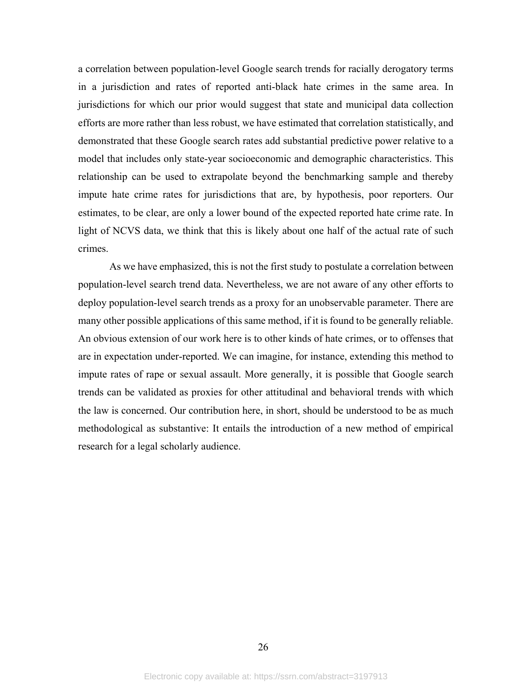a correlation between population-level Google search trends for racially derogatory terms in a jurisdiction and rates of reported anti-black hate crimes in the same area. In jurisdictions for which our prior would suggest that state and municipal data collection efforts are more rather than less robust, we have estimated that correlation statistically, and demonstrated that these Google search rates add substantial predictive power relative to a model that includes only state-year socioeconomic and demographic characteristics. This relationship can be used to extrapolate beyond the benchmarking sample and thereby impute hate crime rates for jurisdictions that are, by hypothesis, poor reporters. Our estimates, to be clear, are only a lower bound of the expected reported hate crime rate. In light of NCVS data, we think that this is likely about one half of the actual rate of such crimes.

 As we have emphasized, this is not the first study to postulate a correlation between population-level search trend data. Nevertheless, we are not aware of any other efforts to deploy population-level search trends as a proxy for an unobservable parameter. There are many other possible applications of this same method, if it is found to be generally reliable. An obvious extension of our work here is to other kinds of hate crimes, or to offenses that are in expectation under-reported. We can imagine, for instance, extending this method to impute rates of rape or sexual assault. More generally, it is possible that Google search trends can be validated as proxies for other attitudinal and behavioral trends with which the law is concerned. Our contribution here, in short, should be understood to be as much methodological as substantive: It entails the introduction of a new method of empirical research for a legal scholarly audience.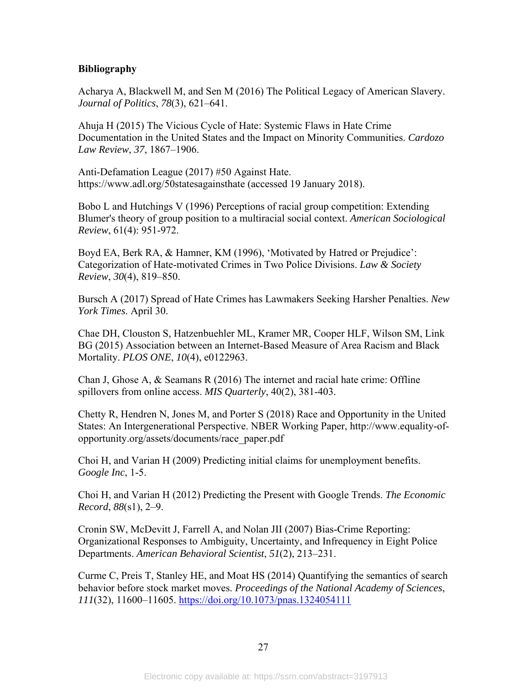# **Bibliography**

Acharya A, Blackwell M, and Sen M (2016) The Political Legacy of American Slavery. *Journal of Politics*, *78*(3), 621–641.

Ahuja H (2015) The Vicious Cycle of Hate: Systemic Flaws in Hate Crime Documentation in the United States and the Impact on Minority Communities. *Cardozo Law Review*, *37*, 1867–1906.

Anti-Defamation League (2017) #50 Against Hate. https://www.adl.org/50statesagainsthate (accessed 19 January 2018).

Bobo L and Hutchings V (1996) Perceptions of racial group competition: Extending Blumer's theory of group position to a multiracial social context. *American Sociological Review*, 61(4): 951-972.

Boyd EA, Berk RA, & Hamner, KM (1996), 'Motivated by Hatred or Prejudice': Categorization of Hate-motivated Crimes in Two Police Divisions. *Law & Society Review*, *30*(4), 819–850.

Bursch A (2017) Spread of Hate Crimes has Lawmakers Seeking Harsher Penalties. *New York Times*. April 30.

Chae DH, Clouston S, Hatzenbuehler ML, Kramer MR, Cooper HLF, Wilson SM, Link BG (2015) Association between an Internet-Based Measure of Area Racism and Black Mortality. *PLOS ONE*, *10*(4), e0122963.

Chan J, Ghose A, & Seamans R (2016) The internet and racial hate crime: Offline spillovers from online access. *MIS Quarterly*, 40(2), 381-403.

Chetty R, Hendren N, Jones M, and Porter S (2018) Race and Opportunity in the United States: An Intergenerational Perspective. NBER Working Paper, http://www.equality-ofopportunity.org/assets/documents/race\_paper.pdf

Choi H, and Varian H (2009) Predicting initial claims for unemployment benefits. *Google Inc*, 1-5.

Choi H, and Varian H (2012) Predicting the Present with Google Trends. *The Economic Record*, *88*(s1), 2–9.

Cronin SW, McDevitt J, Farrell A, and Nolan JII (2007) Bias-Crime Reporting: Organizational Responses to Ambiguity, Uncertainty, and Infrequency in Eight Police Departments. *American Behavioral Scientist*, *51*(2), 213–231.

Curme C, Preis T, Stanley HE, and Moat HS (2014) Quantifying the semantics of search behavior before stock market moves. *Proceedings of the National Academy of Sciences*, *111*(32), 11600–11605. https://doi.org/10.1073/pnas.1324054111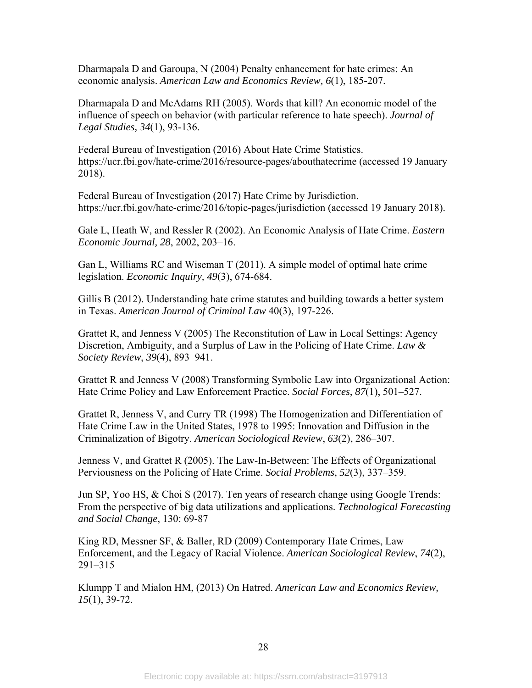Dharmapala D and Garoupa, N (2004) Penalty enhancement for hate crimes: An economic analysis. *American Law and Economics Review, 6*(1), 185-207.

Dharmapala D and McAdams RH (2005). Words that kill? An economic model of the influence of speech on behavior (with particular reference to hate speech). *Journal of Legal Studies, 34*(1), 93-136.

Federal Bureau of Investigation (2016) About Hate Crime Statistics. https://ucr.fbi.gov/hate-crime/2016/resource-pages/abouthatecrime (accessed 19 January 2018).

Federal Bureau of Investigation (2017) Hate Crime by Jurisdiction. https://ucr.fbi.gov/hate-crime/2016/topic-pages/jurisdiction (accessed 19 January 2018).

Gale L, Heath W, and Ressler R (2002). An Economic Analysis of Hate Crime. *Eastern Economic Journal, 28*, 2002, 203–16.

Gan L, Williams RC and Wiseman T (2011). A simple model of optimal hate crime legislation. *Economic Inquiry, 49*(3), 674-684.

Gillis B (2012). Understanding hate crime statutes and building towards a better system in Texas. *American Journal of Criminal Law* 40(3), 197-226.

Grattet R, and Jenness V (2005) The Reconstitution of Law in Local Settings: Agency Discretion, Ambiguity, and a Surplus of Law in the Policing of Hate Crime. *Law & Society Review*, *39*(4), 893–941.

Grattet R and Jenness V (2008) Transforming Symbolic Law into Organizational Action: Hate Crime Policy and Law Enforcement Practice. *Social Forces*, *87*(1), 501–527.

Grattet R, Jenness V, and Curry TR (1998) The Homogenization and Differentiation of Hate Crime Law in the United States, 1978 to 1995: Innovation and Diffusion in the Criminalization of Bigotry. *American Sociological Review*, *63*(2), 286–307.

Jenness V, and Grattet R (2005). The Law-In-Between: The Effects of Organizational Perviousness on the Policing of Hate Crime. *Social Problems*, *52*(3), 337–359.

Jun SP, Yoo HS, & Choi S (2017). Ten years of research change using Google Trends: From the perspective of big data utilizations and applications. *Technological Forecasting and Social Change*, 130: 69-87

King RD, Messner SF, & Baller, RD (2009) Contemporary Hate Crimes, Law Enforcement, and the Legacy of Racial Violence. *American Sociological Review*, *74*(2), 291–315

Klumpp T and Mialon HM, (2013) On Hatred. *American Law and Economics Review, 15*(1), 39-72.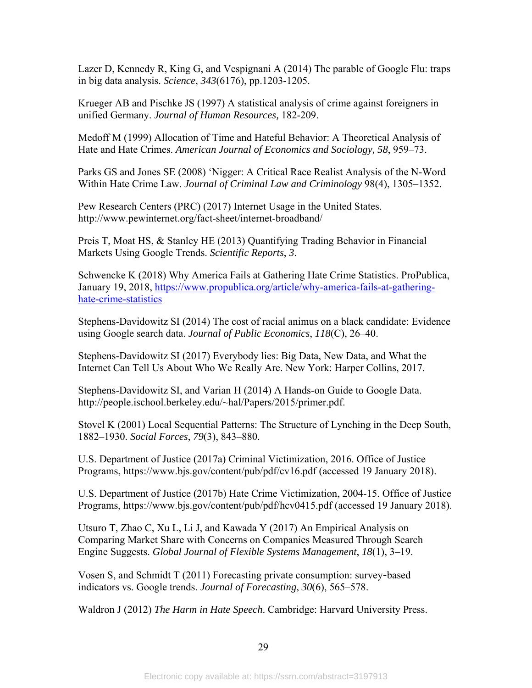Lazer D, Kennedy R, King G, and Vespignani A (2014) The parable of Google Flu: traps in big data analysis. *Science*, *343*(6176), pp.1203-1205.

Krueger AB and Pischke JS (1997) A statistical analysis of crime against foreigners in unified Germany. *Journal of Human Resources,* 182-209.

Medoff M (1999) Allocation of Time and Hateful Behavior: A Theoretical Analysis of Hate and Hate Crimes. *American Journal of Economics and Sociology, 58*, 959–73.

Parks GS and Jones SE (2008) 'Nigger: A Critical Race Realist Analysis of the N-Word Within Hate Crime Law. *Journal of Criminal Law and Criminology* 98(4), 1305–1352.

Pew Research Centers (PRC) (2017) Internet Usage in the United States. http://www.pewinternet.org/fact-sheet/internet-broadband/

Preis T, Moat HS, & Stanley HE (2013) Quantifying Trading Behavior in Financial Markets Using Google Trends. *Scientific Reports*, *3*.

Schwencke K (2018) Why America Fails at Gathering Hate Crime Statistics. ProPublica, January 19, 2018, https://www.propublica.org/article/why-america-fails-at-gatheringhate-crime-statistics

Stephens-Davidowitz SI (2014) The cost of racial animus on a black candidate: Evidence using Google search data. *Journal of Public Economics*, *118*(C), 26–40.

Stephens-Davidowitz SI (2017) Everybody lies: Big Data, New Data, and What the Internet Can Tell Us About Who We Really Are. New York: Harper Collins, 2017.

Stephens-Davidowitz SI, and Varian H (2014) A Hands-on Guide to Google Data. http://people.ischool.berkeley.edu/~hal/Papers/2015/primer.pdf.

Stovel K (2001) Local Sequential Patterns: The Structure of Lynching in the Deep South, 1882–1930. *Social Forces*, *79*(3), 843–880.

U.S. Department of Justice (2017a) Criminal Victimization, 2016. Office of Justice Programs, https://www.bjs.gov/content/pub/pdf/cv16.pdf (accessed 19 January 2018).

U.S. Department of Justice (2017b) Hate Crime Victimization, 2004-15. Office of Justice Programs, https://www.bjs.gov/content/pub/pdf/hcv0415.pdf (accessed 19 January 2018).

Utsuro T, Zhao C, Xu L, Li J, and Kawada Y (2017) An Empirical Analysis on Comparing Market Share with Concerns on Companies Measured Through Search Engine Suggests. *Global Journal of Flexible Systems Management*, *18*(1), 3–19.

Vosen S, and Schmidt T (2011) Forecasting private consumption: survey‐based indicators vs. Google trends. *Journal of Forecasting*, *30*(6), 565–578.

Waldron J (2012) *The Harm in Hate Speech*. Cambridge: Harvard University Press.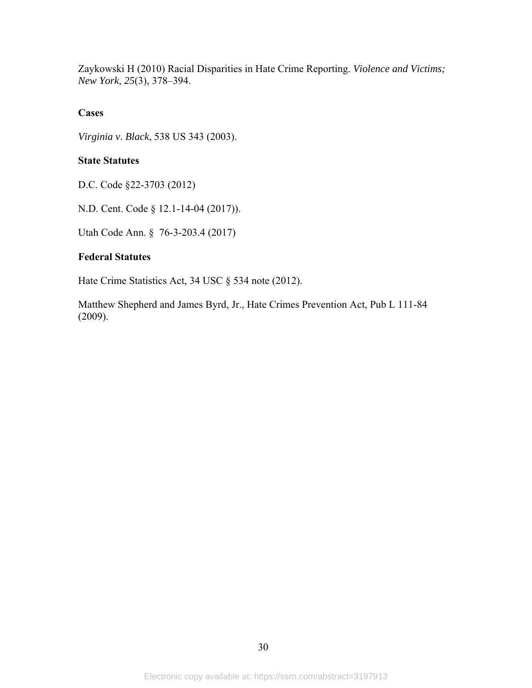Zaykowski H (2010) Racial Disparities in Hate Crime Reporting. *Violence and Victims; New York*, *25*(3), 378–394.

# **Cases**

*Virginia v*. *Black*, 538 US 343 (2003).

# **State Statutes**

D.C. Code §22-3703 (2012)

N.D. Cent. Code § 12.1-14-04 (2017)).

Utah Code Ann. § 76-3-203.4 (2017)

## **Federal Statutes**

Hate Crime Statistics Act, 34 USC § 534 note (2012).

Matthew Shepherd and James Byrd, Jr., Hate Crimes Prevention Act, Pub L 111-84 (2009).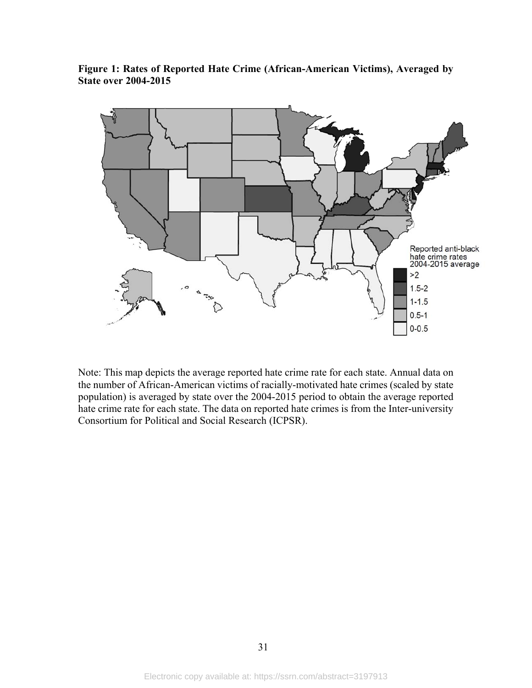**Figure 1: Rates of Reported Hate Crime (African-American Victims), Averaged by State over 2004-2015** 



Note: This map depicts the average reported hate crime rate for each state. Annual data on the number of African-American victims of racially-motivated hate crimes (scaled by state population) is averaged by state over the 2004-2015 period to obtain the average reported hate crime rate for each state. The data on reported hate crimes is from the Inter-university Consortium for Political and Social Research (ICPSR).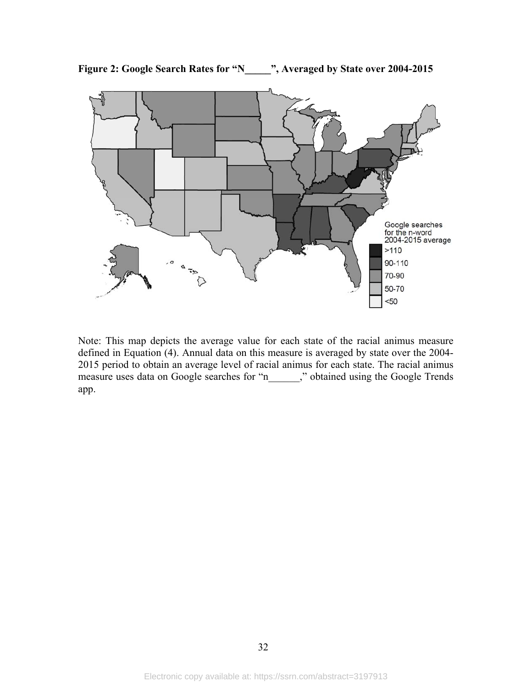

**Figure 2: Google Search Rates for "N\_\_\_\_\_", Averaged by State over 2004-2015** 

Note: This map depicts the average value for each state of the racial animus measure defined in Equation (4). Annual data on this measure is averaged by state over the 2004- 2015 period to obtain an average level of racial animus for each state. The racial animus measure uses data on Google searches for "n\_\_\_\_\_\_," obtained using the Google Trends app.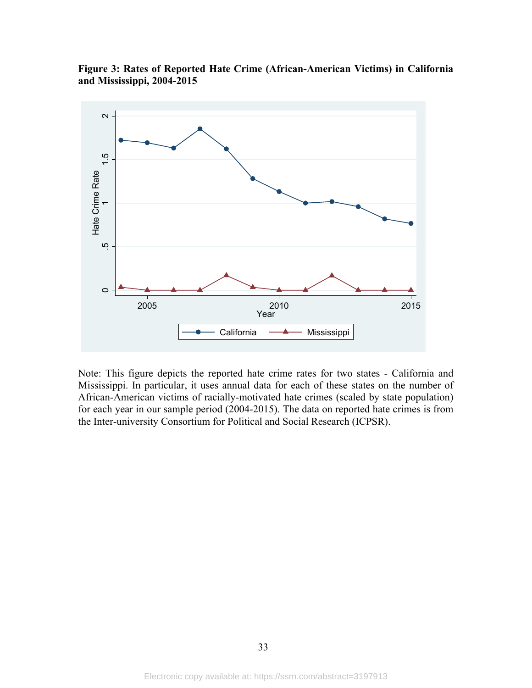



Note: This figure depicts the reported hate crime rates for two states - California and Mississippi. In particular, it uses annual data for each of these states on the number of African-American victims of racially-motivated hate crimes (scaled by state population) for each year in our sample period (2004-2015). The data on reported hate crimes is from the Inter-university Consortium for Political and Social Research (ICPSR).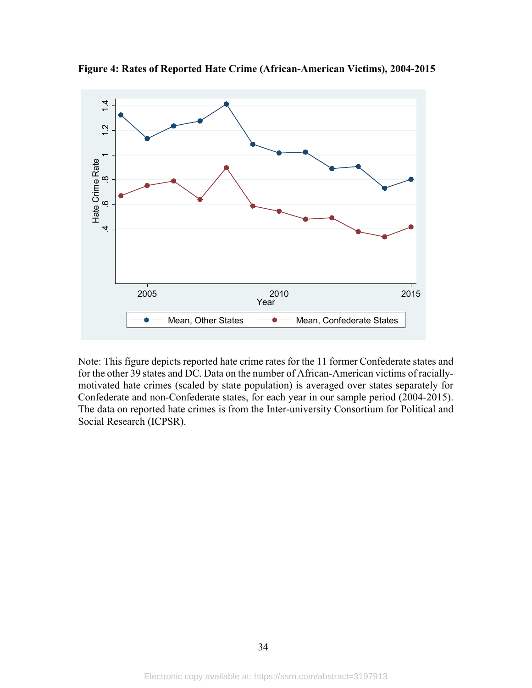

**Figure 4: Rates of Reported Hate Crime (African-American Victims), 2004-2015** 

Note: This figure depicts reported hate crime rates for the 11 former Confederate states and for the other 39 states and DC. Data on the number of African-American victims of raciallymotivated hate crimes (scaled by state population) is averaged over states separately for Confederate and non-Confederate states, for each year in our sample period (2004-2015). The data on reported hate crimes is from the Inter-university Consortium for Political and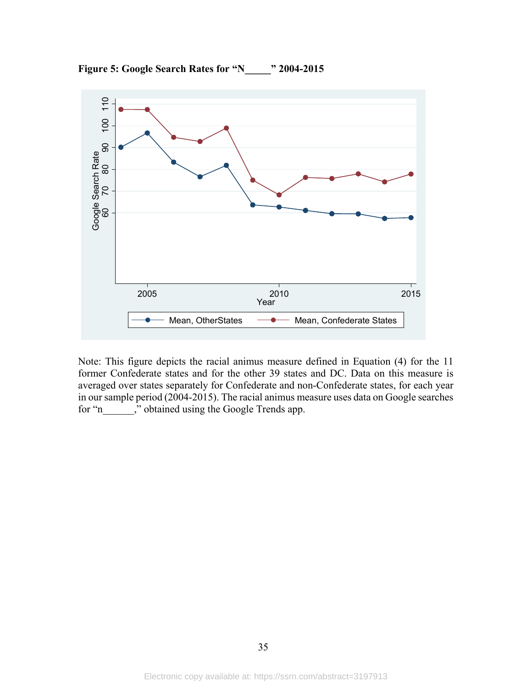

**Figure 5: Google Search Rates for "N\_\_\_\_\_" 2004-2015** 

Note: This figure depicts the racial animus measure defined in Equation (4) for the 11 former Confederate states and for the other 39 states and DC. Data on this measure is averaged over states separately for Confederate and non-Confederate states, for each year in our sample period (2004-2015). The racial animus measure uses data on Google searches for "n\_\_\_\_\_\_," obtained using the Google Trends app.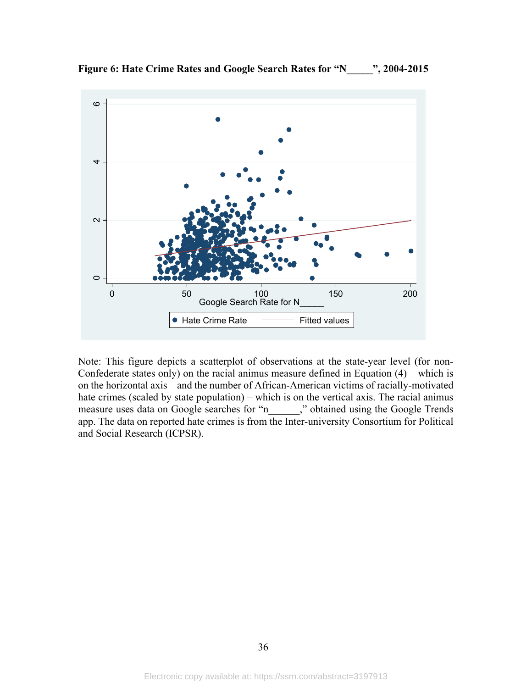

**Figure 6: Hate Crime Rates and Google Search Rates for "N\_\_\_\_\_", 2004-2015** 

Note: This figure depicts a scatterplot of observations at the state-year level (for non-Confederate states only) on the racial animus measure defined in Equation  $(4)$  – which is on the horizontal axis – and the number of African-American victims of racially-motivated hate crimes (scaled by state population) – which is on the vertical axis. The racial animus measure uses data on Google searches for "n\_\_\_\_\_\_," obtained using the Google Trends app. The data on reported hate crimes is from the Inter-university Consortium for Political and Social Research (ICPSR).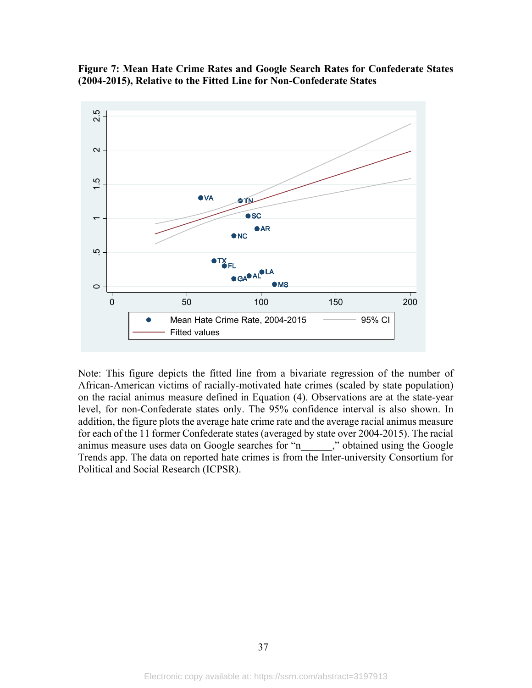



Note: This figure depicts the fitted line from a bivariate regression of the number of African-American victims of racially-motivated hate crimes (scaled by state population) on the racial animus measure defined in Equation (4). Observations are at the state-year level, for non-Confederate states only. The 95% confidence interval is also shown. In addition, the figure plots the average hate crime rate and the average racial animus measure for each of the 11 former Confederate states (averaged by state over 2004-2015). The racial animus measure uses data on Google searches for "n\_\_\_\_\_\_," obtained using the Google Trends app. The data on reported hate crimes is from the Inter-university Consortium for Political and Social Research (ICPSR).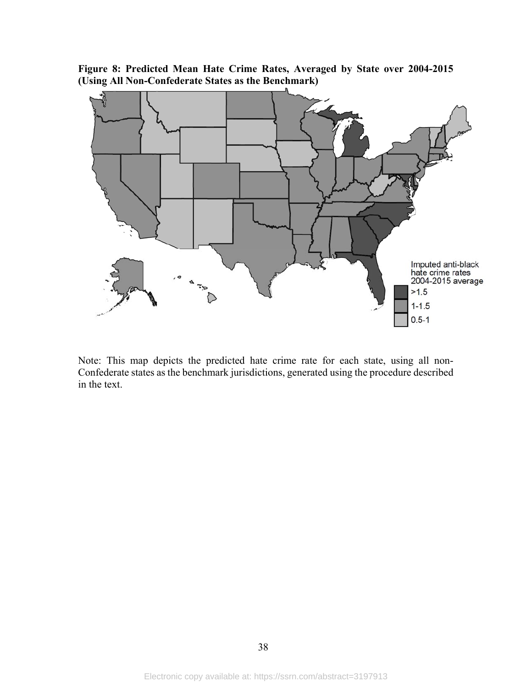**Figure 8: Predicted Mean Hate Crime Rates, Averaged by State over 2004-2015 (Using All Non-Confederate States as the Benchmark)** 



Note: This map depicts the predicted hate crime rate for each state, using all non-Confederate states as the benchmark jurisdictions, generated using the procedure described in the text.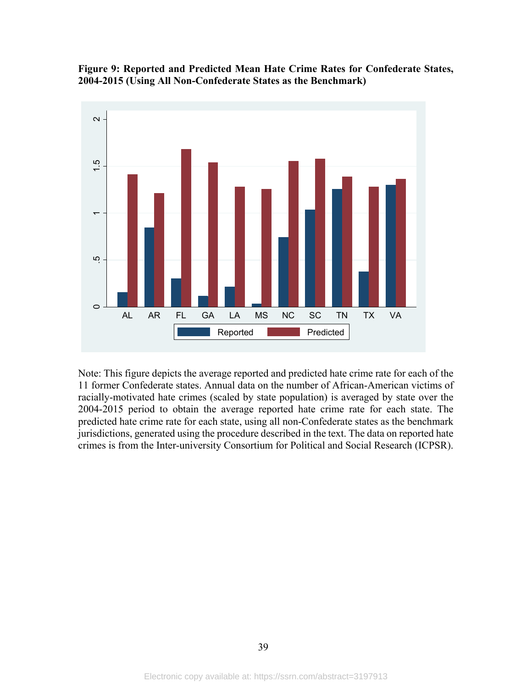



Note: This figure depicts the average reported and predicted hate crime rate for each of the 11 former Confederate states. Annual data on the number of African-American victims of racially-motivated hate crimes (scaled by state population) is averaged by state over the 2004-2015 period to obtain the average reported hate crime rate for each state. The predicted hate crime rate for each state, using all non-Confederate states as the benchmark jurisdictions, generated using the procedure described in the text. The data on reported hate crimes is from the Inter-university Consortium for Political and Social Research (ICPSR).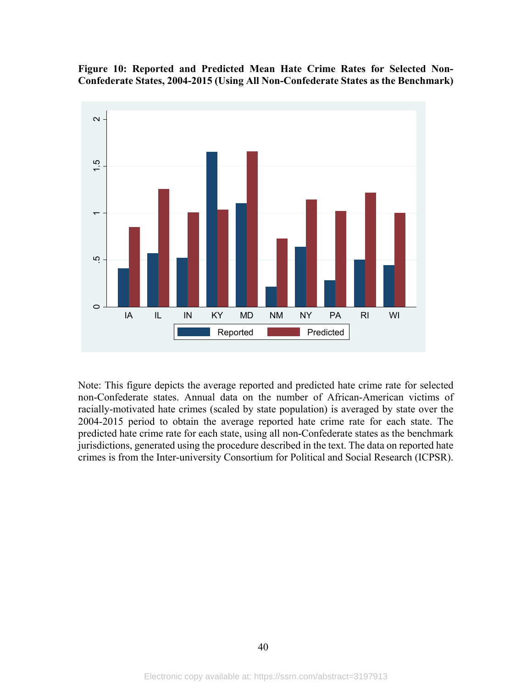**Figure 10: Reported and Predicted Mean Hate Crime Rates for Selected Non-Confederate States, 2004-2015 (Using All Non-Confederate States as the Benchmark)** 



Note: This figure depicts the average reported and predicted hate crime rate for selected non-Confederate states. Annual data on the number of African-American victims of racially-motivated hate crimes (scaled by state population) is averaged by state over the 2004-2015 period to obtain the average reported hate crime rate for each state. The predicted hate crime rate for each state, using all non-Confederate states as the benchmark jurisdictions, generated using the procedure described in the text. The data on reported hate crimes is from the Inter-university Consortium for Political and Social Research (ICPSR).

40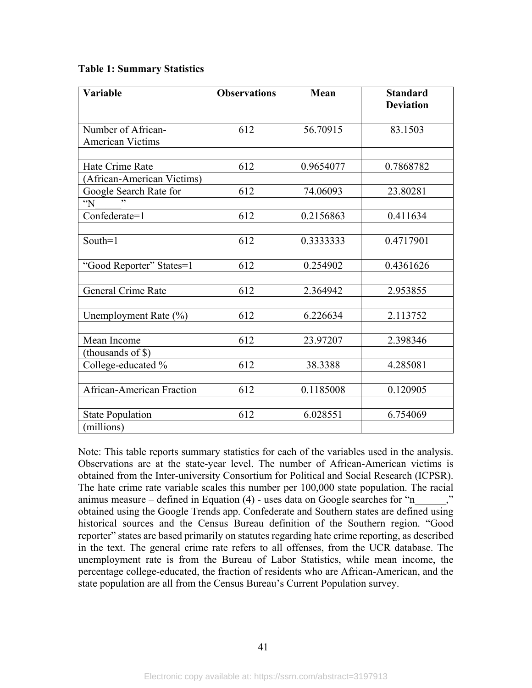# **Table 1: Summary Statistics**

| <b>Variable</b>                               | <b>Observations</b> | Mean      | <b>Standard</b><br><b>Deviation</b> |
|-----------------------------------------------|---------------------|-----------|-------------------------------------|
| Number of African-<br><b>American Victims</b> | 612                 | 56.70915  | 83.1503                             |
| Hate Crime Rate                               | 612                 |           | 0.7868782                           |
| (African-American Victims)                    |                     | 0.9654077 |                                     |
| Google Search Rate for<br>$\gamma$            | 612                 | 74.06093  | 23.80281                            |
| Confederate=1                                 | 612                 | 0.2156863 | 0.411634                            |
| South=1                                       | 612                 | 0.3333333 | 0.4717901                           |
| "Good Reporter" States=1                      | 612                 | 0.254902  | 0.4361626                           |
| <b>General Crime Rate</b>                     | 612                 | 2.364942  | 2.953855                            |
| Unemployment Rate (%)                         | 612                 | 6.226634  | 2.113752                            |
| Mean Income                                   | 612                 | 23.97207  | 2.398346                            |
| (thousands of \$)<br>College-educated %       | 612                 | 38.3388   | 4.285081                            |
| <b>African-American Fraction</b>              | 612                 | 0.1185008 | 0.120905                            |
| <b>State Population</b><br>(millions)         | 612                 | 6.028551  | 6.754069                            |

Note: This table reports summary statistics for each of the variables used in the analysis. Observations are at the state-year level. The number of African-American victims is obtained from the Inter-university Consortium for Political and Social Research (ICPSR). The hate crime rate variable scales this number per 100,000 state population. The racial animus measure – defined in Equation (4) - uses data on Google searches for "n obtained using the Google Trends app. Confederate and Southern states are defined using historical sources and the Census Bureau definition of the Southern region. "Good reporter" states are based primarily on statutes regarding hate crime reporting, as described in the text. The general crime rate refers to all offenses, from the UCR database. The unemployment rate is from the Bureau of Labor Statistics, while mean income, the percentage college-educated, the fraction of residents who are African-American, and the state population are all from the Census Bureau's Current Population survey.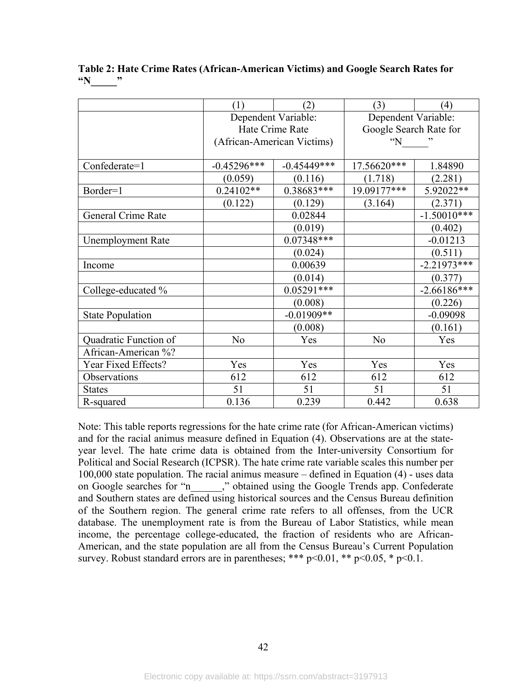|                          | (1)                        | (2)           | (3)                    | (4)           |
|--------------------------|----------------------------|---------------|------------------------|---------------|
|                          | Dependent Variable:        |               | Dependent Variable:    |               |
|                          | Hate Crime Rate            |               | Google Search Rate for |               |
|                          | (African-American Victims) |               | $\lq N$                |               |
|                          |                            |               |                        |               |
| Confederate=1            | $-0.45296***$              | $-0.45449***$ | 17.56620***            | 1.84890       |
|                          | (0.059)                    | (0.116)       | (1.718)                | (2.281)       |
| Border=1                 | $0.24102**$                | 0.38683***    | 19.09177***            | 5.92022**     |
|                          | (0.122)                    | (0.129)       | (3.164)                | (2.371)       |
| General Crime Rate       |                            | 0.02844       |                        | $-1.50010***$ |
|                          |                            | (0.019)       |                        | (0.402)       |
| <b>Unemployment Rate</b> |                            | $0.07348***$  |                        | $-0.01213$    |
|                          |                            | (0.024)       |                        | (0.511)       |
| Income                   |                            | 0.00639       |                        | $-2.21973***$ |
|                          |                            | (0.014)       |                        | (0.377)       |
| College-educated %       |                            | $0.05291***$  |                        | $-2.66186***$ |
|                          |                            | (0.008)       |                        | (0.226)       |
| <b>State Population</b>  |                            | $-0.01909**$  |                        | $-0.09098$    |
|                          |                            | (0.008)       |                        | (0.161)       |
| Quadratic Function of    | No                         | Yes           | No                     | Yes           |
| African-American %?      |                            |               |                        |               |
| Year Fixed Effects?      | Yes                        | Yes           | Yes                    | Yes           |
| Observations             | 612                        | 612           | 612                    | 612           |
| <b>States</b>            | 51                         | 51            | 51                     | 51            |
| R-squared                | 0.136                      | 0.239         | 0.442                  | 0.638         |

**Table 2: Hate Crime Rates (African-American Victims) and Google Search Rates for "N\_\_\_\_\_"** 

Note: This table reports regressions for the hate crime rate (for African-American victims) and for the racial animus measure defined in Equation (4). Observations are at the stateyear level. The hate crime data is obtained from the Inter-university Consortium for Political and Social Research (ICPSR). The hate crime rate variable scales this number per 100,000 state population. The racial animus measure – defined in Equation (4) - uses data on Google searches for "n\_\_\_\_\_\_," obtained using the Google Trends app. Confederate and Southern states are defined using historical sources and the Census Bureau definition of the Southern region. The general crime rate refers to all offenses, from the UCR database. The unemployment rate is from the Bureau of Labor Statistics, while mean income, the percentage college-educated, the fraction of residents who are African-American, and the state population are all from the Census Bureau's Current Population survey. Robust standard errors are in parentheses; \*\*\*  $p<0.01$ , \*\*  $p<0.05$ , \*  $p<0.1$ .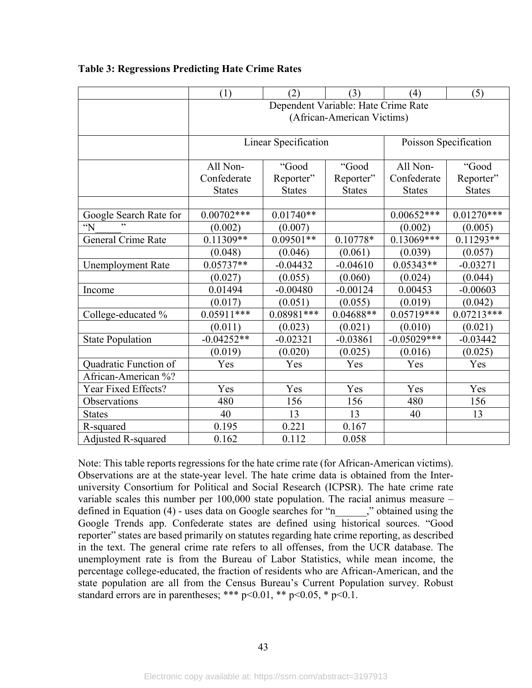|                           | (1)                                 | (2)                  | (3)           | (4)                   | (5)           |  |
|---------------------------|-------------------------------------|----------------------|---------------|-----------------------|---------------|--|
|                           | Dependent Variable: Hate Crime Rate |                      |               |                       |               |  |
|                           | (African-American Victims)          |                      |               |                       |               |  |
|                           |                                     |                      |               |                       |               |  |
|                           |                                     | Linear Specification |               | Poisson Specification |               |  |
|                           |                                     |                      |               | All Non-              |               |  |
|                           | All Non-                            | "Good                | "Good         |                       | "Good         |  |
|                           | Confederate                         | Reporter"            | Reporter"     | Confederate           | Reporter"     |  |
|                           | <b>States</b>                       | <b>States</b>        | <b>States</b> | <b>States</b>         | <b>States</b> |  |
|                           |                                     |                      |               |                       |               |  |
| Google Search Rate for    | $0.00702***$                        | $0.01740**$          |               | $0.00652***$          | $0.01270**$   |  |
| $\mathbf{N}$              | (0.002)                             | (0.007)              |               | (0.002)               | (0.005)       |  |
| <b>General Crime Rate</b> | $0.11309**$                         | $0.09501**$          | $0.10778*$    | $0.13069***$          | $0.11293**$   |  |
|                           | (0.048)                             | (0.046)              | (0.061)       | (0.039)               | (0.057)       |  |
| <b>Unemployment Rate</b>  | $0.05737**$                         | $-0.04432$           | $-0.04610$    | $0.05343**$           | $-0.03271$    |  |
|                           | (0.027)                             | (0.055)              | (0.060)       | (0.024)               | (0.044)       |  |
| Income                    | 0.01494                             | $-0.00480$           | $-0.00124$    | 0.00453               | $-0.00603$    |  |
|                           | (0.017)                             | (0.051)              | (0.055)       | (0.019)               | (0.042)       |  |
| College-educated %        | $0.05911***$                        | $0.08981***$         | $0.04688**$   | $0.05719***$          | $0.07213***$  |  |
|                           | (0.011)                             | (0.023)              | (0.021)       | (0.010)               | (0.021)       |  |
| <b>State Population</b>   | $-0.04252**$                        | $-0.02321$           | $-0.03861$    | $-0.05029***$         | $-0.03442$    |  |
|                           | (0.019)                             | (0.020)              | (0.025)       | (0.016)               | (0.025)       |  |
| Quadratic Function of     | Yes                                 | Yes                  | Yes           | Yes                   | Yes           |  |
| African-American %?       |                                     |                      |               |                       |               |  |
| Year Fixed Effects?       | Yes                                 | Yes                  | Yes           | Yes                   | Yes           |  |
| Observations              | 480                                 | 156                  | 156           | 480                   | 156           |  |
| <b>States</b>             | 40                                  | 13                   | 13            | 40                    | 13            |  |
| R-squared                 | 0.195                               | 0.221                | 0.167         |                       |               |  |
| Adjusted R-squared        | 0.162                               | 0.112                | 0.058         |                       |               |  |

# **Table 3: Regressions Predicting Hate Crime Rates**

Note: This table reports regressions for the hate crime rate (for African-American victims). Observations are at the state-year level. The hate crime data is obtained from the Interuniversity Consortium for Political and Social Research (ICPSR). The hate crime rate variable scales this number per 100,000 state population. The racial animus measure – defined in Equation (4) - uses data on Google searches for "n\_\_\_\_\_," obtained using the Google Trends app. Confederate states are defined using historical sources. "Good reporter" states are based primarily on statutes regarding hate crime reporting, as described in the text. The general crime rate refers to all offenses, from the UCR database. The unemployment rate is from the Bureau of Labor Statistics, while mean income, the percentage college-educated, the fraction of residents who are African-American, and the state population are all from the Census Bureau's Current Population survey. Robust standard errors are in parentheses; \*\*\*  $p<0.01$ , \*\*  $p<0.05$ , \*  $p<0.1$ .